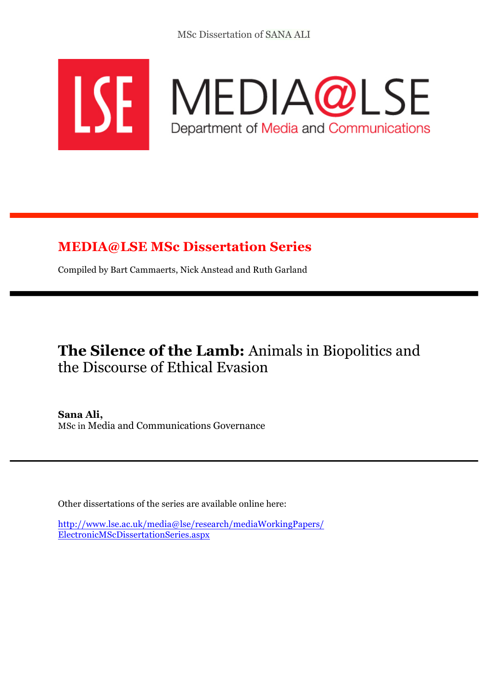

## **MEDIA@LSE MSc Dissertation Series**

Compiled by Bart Cammaerts, Nick Anstead and Ruth Garland

# **The Silence of the Lamb:** Animals in Biopolitics and the Discourse of Ethical Evasion

**Sana Ali,** MSc in Media and Communications Governance

Other dissertations of the series are available online here:

http://www.lse.ac.uk/media@lse/research/mediaWorkingPapers/ ElectronicMScDissertationSeries.aspx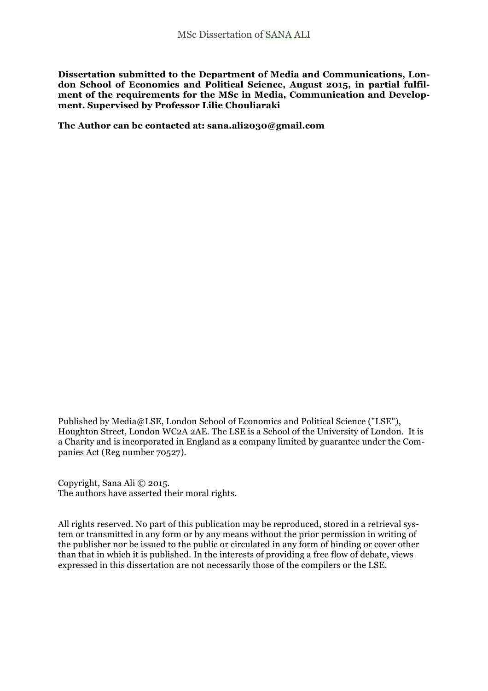**Dissertation submitted to the Department of Media and Communications, London School of Economics and Political Science, August 2015, in partial fulfilment of the requirements for the MSc in Media, Communication and Development. Supervised by Professor Lilie Chouliaraki**

**The Author can be contacted at: sana.ali2030@gmail.com**

Published by Media@LSE, London School of Economics and Political Science ("LSE"), Houghton Street, London WC2A 2AE. The LSE is a School of the University of London. It is a Charity and is incorporated in England as a company limited by guarantee under the Companies Act (Reg number 70527).

Copyright, Sana Ali © 2015. The authors have asserted their moral rights.

All rights reserved. No part of this publication may be reproduced, stored in a retrieval system or transmitted in any form or by any means without the prior permission in writing of the publisher nor be issued to the public or circulated in any form of binding or cover other than that in which it is published. In the interests of providing a free flow of debate, views expressed in this dissertation are not necessarily those of the compilers or the LSE.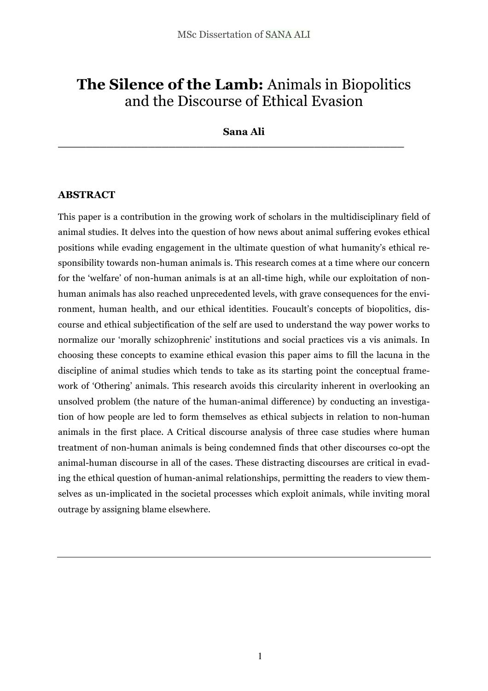# **The Silence of the Lamb:** Animals in Biopolitics and the Discourse of Ethical Evasion

## **Sana Ali**

**\_\_\_\_\_\_\_\_\_\_\_\_\_\_\_\_\_\_\_\_\_\_\_\_\_\_\_\_\_\_\_\_\_\_\_\_\_\_\_\_\_\_\_\_\_\_\_\_\_\_**

#### **ABSTRACT**

This paper is a contribution in the growing work of scholars in the multidisciplinary field of animal studies. It delves into the question of how news about animal suffering evokes ethical positions while evading engagement in the ultimate question of what humanity's ethical responsibility towards non-human animals is. This research comes at a time where our concern for the 'welfare' of non-human animals is at an all-time high, while our exploitation of nonhuman animals has also reached unprecedented levels, with grave consequences for the environment, human health, and our ethical identities. Foucault's concepts of biopolitics, discourse and ethical subjectification of the self are used to understand the way power works to normalize our 'morally schizophrenic' institutions and social practices vis a vis animals. In choosing these concepts to examine ethical evasion this paper aims to fill the lacuna in the discipline of animal studies which tends to take as its starting point the conceptual framework of 'Othering' animals. This research avoids this circularity inherent in overlooking an unsolved problem (the nature of the human-animal difference) by conducting an investigation of how people are led to form themselves as ethical subjects in relation to non-human animals in the first place. A Critical discourse analysis of three case studies where human treatment of non-human animals is being condemned finds that other discourses co-opt the animal-human discourse in all of the cases. These distracting discourses are critical in evading the ethical question of human-animal relationships, permitting the readers to view themselves as un-implicated in the societal processes which exploit animals, while inviting moral outrage by assigning blame elsewhere.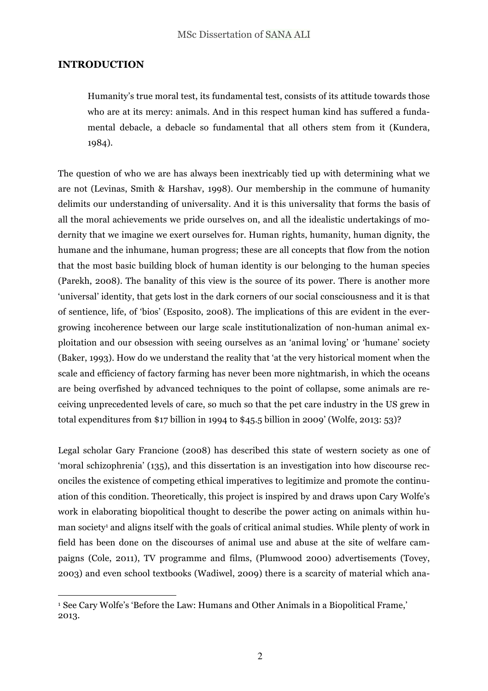#### **INTRODUCTION**

 $\overline{a}$ 

Humanity's true moral test, its fundamental test, consists of its attitude towards those who are at its mercy: animals. And in this respect human kind has suffered a fundamental debacle, a debacle so fundamental that all others stem from it (Kundera, 1984).

The question of who we are has always been inextricably tied up with determining what we are not (Levinas, Smith & Harshav, 1998). Our membership in the commune of humanity delimits our understanding of universality. And it is this universality that forms the basis of all the moral achievements we pride ourselves on, and all the idealistic undertakings of modernity that we imagine we exert ourselves for. Human rights, humanity, human dignity, the humane and the inhumane, human progress; these are all concepts that flow from the notion that the most basic building block of human identity is our belonging to the human species (Parekh, 2008). The banality of this view is the source of its power. There is another more 'universal' identity, that gets lost in the dark corners of our social consciousness and it is that of sentience, life, of 'bios' (Esposito, 2008). The implications of this are evident in the evergrowing incoherence between our large scale institutionalization of non-human animal exploitation and our obsession with seeing ourselves as an 'animal loving' or 'humane' society (Baker, 1993). How do we understand the reality that 'at the very historical moment when the scale and efficiency of factory farming has never been more nightmarish, in which the oceans are being overfished by advanced techniques to the point of collapse, some animals are receiving unprecedented levels of care, so much so that the pet care industry in the US grew in total expenditures from \$17 billion in 1994 to \$45.5 billion in 2009' (Wolfe, 2013: 53)?

Legal scholar Gary Francione (2008) has described this state of western society as one of 'moral schizophrenia' (135), and this dissertation is an investigation into how discourse reconciles the existence of competing ethical imperatives to legitimize and promote the continuation of this condition. Theoretically, this project is inspired by and draws upon Cary Wolfe's work in elaborating biopolitical thought to describe the power acting on animals within human society1 and aligns itself with the goals of critical animal studies. While plenty of work in field has been done on the discourses of animal use and abuse at the site of welfare campaigns (Cole, 2011), TV programme and films, (Plumwood 2000) advertisements (Tovey, 2003) and even school textbooks (Wadiwel, 2009) there is a scarcity of material which ana-

<sup>1</sup> See Cary Wolfe's 'Before the Law: Humans and Other Animals in a Biopolitical Frame,' 2013.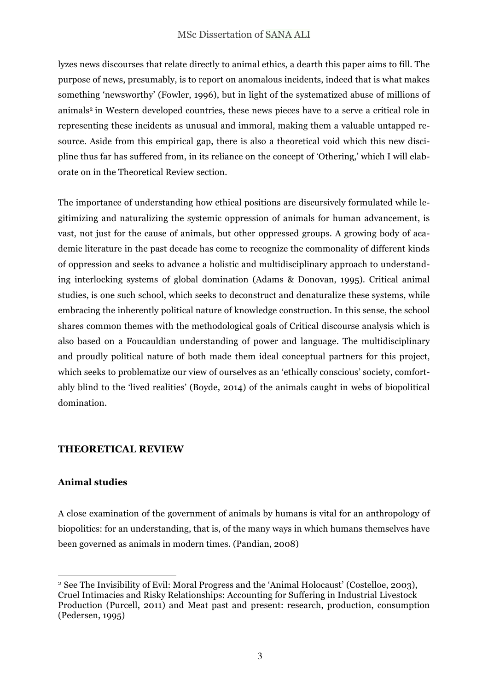#### MSc Dissertation of SANA ALI

lyzes news discourses that relate directly to animal ethics, a dearth this paper aims to fill. The purpose of news, presumably, is to report on anomalous incidents, indeed that is what makes something 'newsworthy' (Fowler, 1996), but in light of the systematized abuse of millions of animals2 in Western developed countries, these news pieces have to a serve a critical role in representing these incidents as unusual and immoral, making them a valuable untapped resource. Aside from this empirical gap, there is also a theoretical void which this new discipline thus far has suffered from, in its reliance on the concept of 'Othering,' which I will elaborate on in the Theoretical Review section.

The importance of understanding how ethical positions are discursively formulated while legitimizing and naturalizing the systemic oppression of animals for human advancement, is vast, not just for the cause of animals, but other oppressed groups. A growing body of academic literature in the past decade has come to recognize the commonality of different kinds of oppression and seeks to advance a holistic and multidisciplinary approach to understanding interlocking systems of global domination (Adams & Donovan, 1995). Critical animal studies, is one such school, which seeks to deconstruct and denaturalize these systems, while embracing the inherently political nature of knowledge construction. In this sense, the school shares common themes with the methodological goals of Critical discourse analysis which is also based on a Foucauldian understanding of power and language. The multidisciplinary and proudly political nature of both made them ideal conceptual partners for this project, which seeks to problematize our view of ourselves as an 'ethically conscious' society, comfortably blind to the 'lived realities' (Boyde, 2014) of the animals caught in webs of biopolitical domination.

## **THEORETICAL REVIEW**

## **Animal studies**

A close examination of the government of animals by humans is vital for an anthropology of biopolitics: for an understanding, that is, of the many ways in which humans themselves have been governed as animals in modern times. (Pandian, 2008)

 $\overline{a}$ <sup>2</sup> See The Invisibility of Evil: Moral Progress and the 'Animal Holocaust' (Costelloe, 2003), Cruel Intimacies and Risky Relationships: Accounting for Suffering in Industrial Livestock Production (Purcell, 2011) and Meat past and present: research, production, consumption (Pedersen, 1995)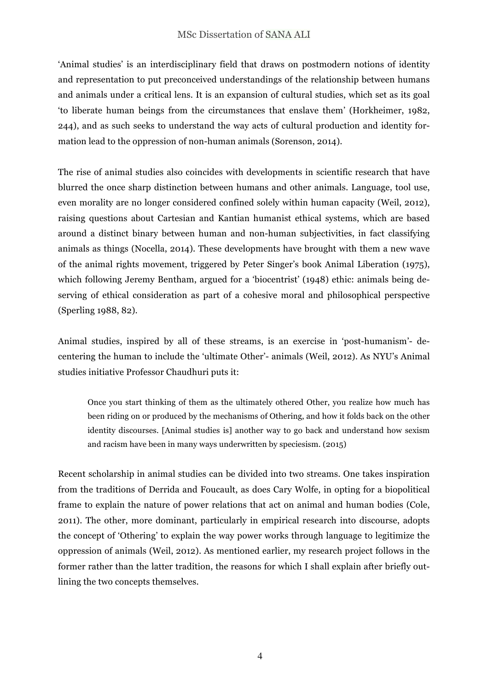#### MSc Dissertation of SANA ALI

'Animal studies' is an interdisciplinary field that draws on postmodern notions of identity and representation to put preconceived understandings of the relationship between humans and animals under a critical lens. It is an expansion of cultural studies, which set as its goal 'to liberate human beings from the circumstances that enslave them' (Horkheimer, 1982, 244), and as such seeks to understand the way acts of cultural production and identity formation lead to the oppression of non-human animals (Sorenson, 2014).

The rise of animal studies also coincides with developments in scientific research that have blurred the once sharp distinction between humans and other animals. Language, tool use, even morality are no longer considered confined solely within human capacity (Weil, 2012), raising questions about Cartesian and Kantian humanist ethical systems, which are based around a distinct binary between human and non-human subjectivities, in fact classifying animals as things (Nocella, 2014). These developments have brought with them a new wave of the animal rights movement, triggered by Peter Singer's book Animal Liberation (1975), which following Jeremy Bentham, argued for a 'biocentrist' (1948) ethic: animals being deserving of ethical consideration as part of a cohesive moral and philosophical perspective (Sperling 1988, 82).

Animal studies, inspired by all of these streams, is an exercise in 'post-humanism'- decentering the human to include the 'ultimate Other'- animals (Weil, 2012). As NYU's Animal studies initiative Professor Chaudhuri puts it:

Once you start thinking of them as the ultimately othered Other, you realize how much has been riding on or produced by the mechanisms of Othering, and how it folds back on the other identity discourses. [Animal studies is] another way to go back and understand how sexism and racism have been in many ways underwritten by speciesism. (2015)

Recent scholarship in animal studies can be divided into two streams. One takes inspiration from the traditions of Derrida and Foucault, as does Cary Wolfe, in opting for a biopolitical frame to explain the nature of power relations that act on animal and human bodies (Cole, 2011). The other, more dominant, particularly in empirical research into discourse, adopts the concept of 'Othering' to explain the way power works through language to legitimize the oppression of animals (Weil, 2012). As mentioned earlier, my research project follows in the former rather than the latter tradition, the reasons for which I shall explain after briefly outlining the two concepts themselves.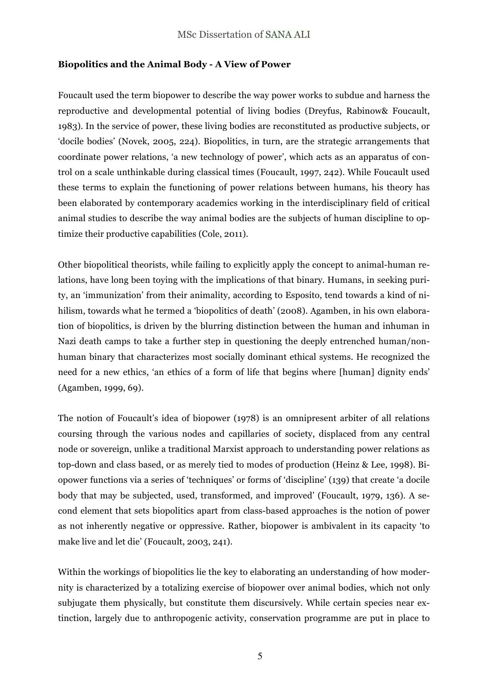## **Biopolitics and the Animal Body - A View of Power**

Foucault used the term biopower to describe the way power works to subdue and harness the reproductive and developmental potential of living bodies (Dreyfus, Rabinow& Foucault, 1983). In the service of power, these living bodies are reconstituted as productive subjects, or 'docile bodies' (Novek, 2005, 224). Biopolitics, in turn, are the strategic arrangements that coordinate power relations, 'a new technology of power', which acts as an apparatus of control on a scale unthinkable during classical times (Foucault, 1997, 242). While Foucault used these terms to explain the functioning of power relations between humans, his theory has been elaborated by contemporary academics working in the interdisciplinary field of critical animal studies to describe the way animal bodies are the subjects of human discipline to optimize their productive capabilities (Cole, 2011).

Other biopolitical theorists, while failing to explicitly apply the concept to animal-human relations, have long been toying with the implications of that binary. Humans, in seeking purity, an 'immunization' from their animality, according to Esposito, tend towards a kind of nihilism, towards what he termed a 'biopolitics of death' (2008). Agamben, in his own elaboration of biopolitics, is driven by the blurring distinction between the human and inhuman in Nazi death camps to take a further step in questioning the deeply entrenched human/nonhuman binary that characterizes most socially dominant ethical systems. He recognized the need for a new ethics, 'an ethics of a form of life that begins where [human] dignity ends' (Agamben, 1999, 69).

The notion of Foucault's idea of biopower (1978) is an omnipresent arbiter of all relations coursing through the various nodes and capillaries of society, displaced from any central node or sovereign, unlike a traditional Marxist approach to understanding power relations as top-down and class based, or as merely tied to modes of production (Heinz & Lee, 1998). Biopower functions via a series of 'techniques' or forms of 'discipline' (139) that create 'a docile body that may be subjected, used, transformed, and improved' (Foucault, 1979, 136). A second element that sets biopolitics apart from class-based approaches is the notion of power as not inherently negative or oppressive. Rather, biopower is ambivalent in its capacity 'to make live and let die' (Foucault, 2003, 241).

Within the workings of biopolitics lie the key to elaborating an understanding of how modernity is characterized by a totalizing exercise of biopower over animal bodies, which not only subjugate them physically, but constitute them discursively. While certain species near extinction, largely due to anthropogenic activity, conservation programme are put in place to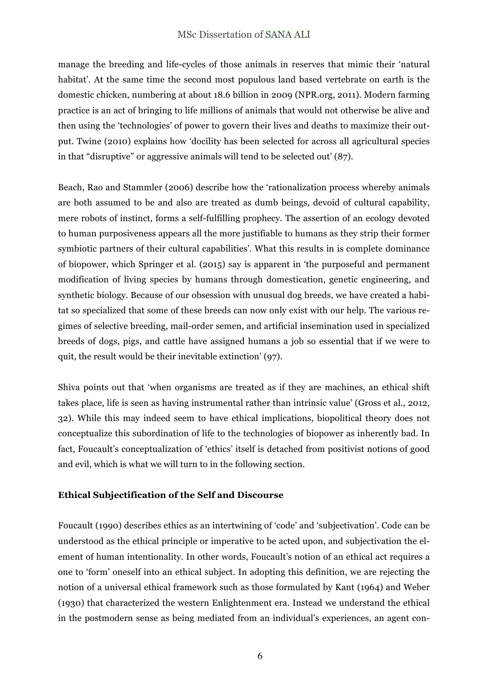#### MSc Dissertation of SANA ALI

manage the breeding and life-cycles of those animals in reserves that mimic their 'natural habitat'. At the same time the second most populous land based vertebrate on earth is the domestic chicken, numbering at about 18.6 billion in 2009 (NPR.org, 2011). Modern farming practice is an act of bringing to life millions of animals that would not otherwise be alive and then using the 'technologies' of power to govern their lives and deaths to maximize their output. Twine (2010) explains how 'docility has been selected for across all agricultural species in that "disruptive" or aggressive animals will tend to be selected out' (87).

Beach, Rao and Stammler (2006) describe how the 'rationalization process whereby animals are both assumed to be and also are treated as dumb beings, devoid of cultural capability, mere robots of instinct, forms a self-fulfilling prophecy. The assertion of an ecology devoted to human purposiveness appears all the more justifiable to humans as they strip their former symbiotic partners of their cultural capabilities'. What this results in is complete dominance of biopower, which Springer et al. (2015) say is apparent in 'the purposeful and permanent modification of living species by humans through domestication, genetic engineering, and synthetic biology. Because of our obsession with unusual dog breeds, we have created a habitat so specialized that some of these breeds can now only exist with our help. The various regimes of selective breeding, mail-order semen, and artificial insemination used in specialized breeds of dogs, pigs, and cattle have assigned humans a job so essential that if we were to quit, the result would be their inevitable extinction' (97).

Shiva points out that 'when organisms are treated as if they are machines, an ethical shift takes place, life is seen as having instrumental rather than intrinsic value' (Gross et al., 2012, 32). While this may indeed seem to have ethical implications, biopolitical theory does not conceptualize this subordination of life to the technologies of biopower as inherently bad. In fact, Foucault's conceptualization of 'ethics' itself is detached from positivist notions of good and evil, which is what we will turn to in the following section.

#### **Ethical Subjectification of the Self and Discourse**

Foucault (1990) describes ethics as an intertwining of 'code' and 'subjectivation'. Code can be understood as the ethical principle or imperative to be acted upon, and subjectivation the element of human intentionality. In other words, Foucault's notion of an ethical act requires a one to 'form' oneself into an ethical subject. In adopting this definition, we are rejecting the notion of a universal ethical framework such as those formulated by Kant (1964) and Weber (1930) that characterized the western Enlightenment era. Instead we understand the ethical in the postmodern sense as being mediated from an individual's experiences, an agent con-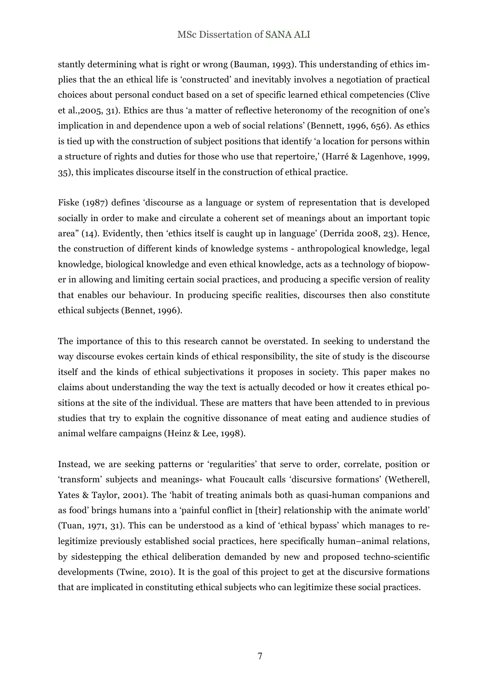#### MSc Dissertation of SANA ALI

stantly determining what is right or wrong (Bauman, 1993). This understanding of ethics implies that the an ethical life is 'constructed' and inevitably involves a negotiation of practical choices about personal conduct based on a set of specific learned ethical competencies (Clive et al.,2005, 31). Ethics are thus 'a matter of reflective heteronomy of the recognition of one's implication in and dependence upon a web of social relations' (Bennett, 1996, 656). As ethics is tied up with the construction of subject positions that identify 'a location for persons within a structure of rights and duties for those who use that repertoire,' (Harré & Lagenhove, 1999, 35), this implicates discourse itself in the construction of ethical practice.

Fiske (1987) defines 'discourse as a language or system of representation that is developed socially in order to make and circulate a coherent set of meanings about an important topic area" (14). Evidently, then 'ethics itself is caught up in language' (Derrida 2008, 23). Hence, the construction of different kinds of knowledge systems - anthropological knowledge, legal knowledge, biological knowledge and even ethical knowledge, acts as a technology of biopower in allowing and limiting certain social practices, and producing a specific version of reality that enables our behaviour. In producing specific realities, discourses then also constitute ethical subjects (Bennet, 1996).

The importance of this to this research cannot be overstated. In seeking to understand the way discourse evokes certain kinds of ethical responsibility, the site of study is the discourse itself and the kinds of ethical subjectivations it proposes in society. This paper makes no claims about understanding the way the text is actually decoded or how it creates ethical positions at the site of the individual. These are matters that have been attended to in previous studies that try to explain the cognitive dissonance of meat eating and audience studies of animal welfare campaigns (Heinz & Lee, 1998).

Instead, we are seeking patterns or 'regularities' that serve to order, correlate, position or 'transform' subjects and meanings- what Foucault calls 'discursive formations' (Wetherell, Yates & Taylor, 2001). The 'habit of treating animals both as quasi-human companions and as food' brings humans into a 'painful conflict in [their] relationship with the animate world' (Tuan, 1971, 31). This can be understood as a kind of 'ethical bypass' which manages to relegitimize previously established social practices, here specifically human–animal relations, by sidestepping the ethical deliberation demanded by new and proposed techno-scientific developments (Twine, 2010). It is the goal of this project to get at the discursive formations that are implicated in constituting ethical subjects who can legitimize these social practices.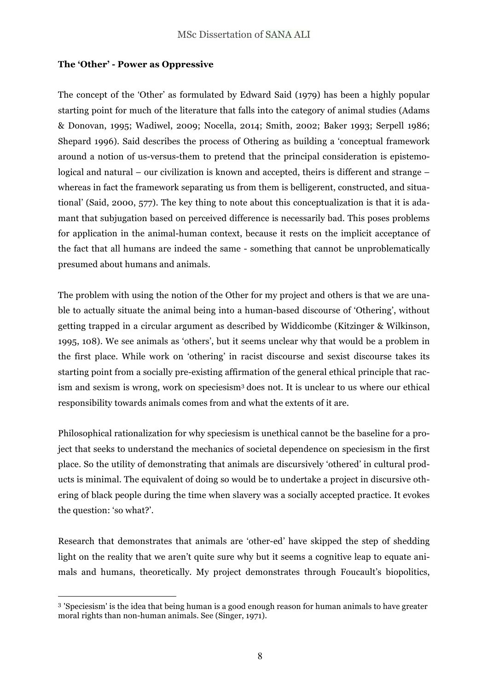#### **The 'Other' - Power as Oppressive**

 $\overline{a}$ 

The concept of the 'Other' as formulated by Edward Said (1979) has been a highly popular starting point for much of the literature that falls into the category of animal studies (Adams & Donovan, 1995; Wadiwel, 2009; Nocella, 2014; Smith, 2002; Baker 1993; Serpell 1986; Shepard 1996). Said describes the process of Othering as building a 'conceptual framework around a notion of us-versus-them to pretend that the principal consideration is epistemological and natural – our civilization is known and accepted, theirs is different and strange – whereas in fact the framework separating us from them is belligerent, constructed, and situational' (Said, 2000, 577). The key thing to note about this conceptualization is that it is adamant that subjugation based on perceived difference is necessarily bad. This poses problems for application in the animal-human context, because it rests on the implicit acceptance of the fact that all humans are indeed the same - something that cannot be unproblematically presumed about humans and animals.

The problem with using the notion of the Other for my project and others is that we are unable to actually situate the animal being into a human-based discourse of 'Othering', without getting trapped in a circular argument as described by Widdicombe (Kitzinger & Wilkinson, 1995, 108). We see animals as 'others', but it seems unclear why that would be a problem in the first place. While work on 'othering' in racist discourse and sexist discourse takes its starting point from a socially pre-existing affirmation of the general ethical principle that racism and sexism is wrong, work on speciesism3 does not. It is unclear to us where our ethical responsibility towards animals comes from and what the extents of it are.

Philosophical rationalization for why speciesism is unethical cannot be the baseline for a project that seeks to understand the mechanics of societal dependence on speciesism in the first place. So the utility of demonstrating that animals are discursively 'othered' in cultural products is minimal. The equivalent of doing so would be to undertake a project in discursive othering of black people during the time when slavery was a socially accepted practice. It evokes the question: 'so what?'.

Research that demonstrates that animals are 'other-ed' have skipped the step of shedding light on the reality that we aren't quite sure why but it seems a cognitive leap to equate animals and humans, theoretically. My project demonstrates through Foucault's biopolitics,

<sup>3</sup> 'Speciesism' is the idea that being human is a good enough reason for human animals to have greater moral rights than non-human animals. See (Singer, 1971).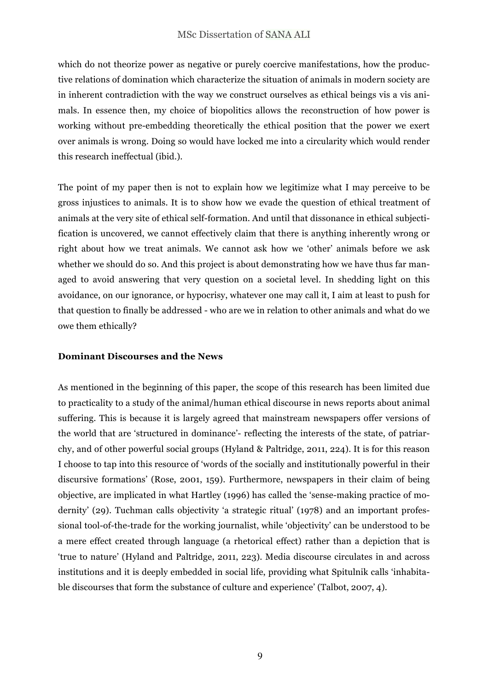#### MSc Dissertation of SANA ALI

which do not theorize power as negative or purely coercive manifestations, how the productive relations of domination which characterize the situation of animals in modern society are in inherent contradiction with the way we construct ourselves as ethical beings vis a vis animals. In essence then, my choice of biopolitics allows the reconstruction of how power is working without pre-embedding theoretically the ethical position that the power we exert over animals is wrong. Doing so would have locked me into a circularity which would render this research ineffectual (ibid.).

The point of my paper then is not to explain how we legitimize what I may perceive to be gross injustices to animals. It is to show how we evade the question of ethical treatment of animals at the very site of ethical self-formation. And until that dissonance in ethical subjectification is uncovered, we cannot effectively claim that there is anything inherently wrong or right about how we treat animals. We cannot ask how we 'other' animals before we ask whether we should do so. And this project is about demonstrating how we have thus far managed to avoid answering that very question on a societal level. In shedding light on this avoidance, on our ignorance, or hypocrisy, whatever one may call it, I aim at least to push for that question to finally be addressed - who are we in relation to other animals and what do we owe them ethically?

#### **Dominant Discourses and the News**

As mentioned in the beginning of this paper, the scope of this research has been limited due to practicality to a study of the animal/human ethical discourse in news reports about animal suffering. This is because it is largely agreed that mainstream newspapers offer versions of the world that are 'structured in dominance'- reflecting the interests of the state, of patriarchy, and of other powerful social groups (Hyland & Paltridge, 2011, 224). It is for this reason I choose to tap into this resource of 'words of the socially and institutionally powerful in their discursive formations' (Rose, 2001, 159). Furthermore, newspapers in their claim of being objective, are implicated in what Hartley (1996) has called the 'sense-making practice of modernity' (29). Tuchman calls objectivity 'a strategic ritual' (1978) and an important professional tool-of-the-trade for the working journalist, while 'objectivity' can be understood to be a mere effect created through language (a rhetorical effect) rather than a depiction that is 'true to nature' (Hyland and Paltridge, 2011, 223). Media discourse circulates in and across institutions and it is deeply embedded in social life, providing what Spitulnik calls 'inhabitable discourses that form the substance of culture and experience' (Talbot, 2007, 4).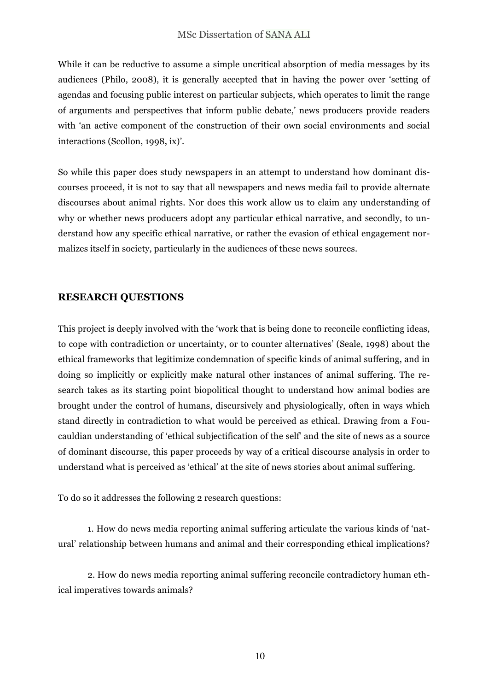While it can be reductive to assume a simple uncritical absorption of media messages by its audiences (Philo, 2008), it is generally accepted that in having the power over 'setting of agendas and focusing public interest on particular subjects, which operates to limit the range of arguments and perspectives that inform public debate,' news producers provide readers with 'an active component of the construction of their own social environments and social interactions (Scollon, 1998, ix)'.

So while this paper does study newspapers in an attempt to understand how dominant discourses proceed, it is not to say that all newspapers and news media fail to provide alternate discourses about animal rights. Nor does this work allow us to claim any understanding of why or whether news producers adopt any particular ethical narrative, and secondly, to understand how any specific ethical narrative, or rather the evasion of ethical engagement normalizes itself in society, particularly in the audiences of these news sources.

## **RESEARCH QUESTIONS**

This project is deeply involved with the 'work that is being done to reconcile conflicting ideas, to cope with contradiction or uncertainty, or to counter alternatives' (Seale, 1998) about the ethical frameworks that legitimize condemnation of specific kinds of animal suffering, and in doing so implicitly or explicitly make natural other instances of animal suffering. The research takes as its starting point biopolitical thought to understand how animal bodies are brought under the control of humans, discursively and physiologically, often in ways which stand directly in contradiction to what would be perceived as ethical. Drawing from a Foucauldian understanding of 'ethical subjectification of the self' and the site of news as a source of dominant discourse, this paper proceeds by way of a critical discourse analysis in order to understand what is perceived as 'ethical' at the site of news stories about animal suffering.

To do so it addresses the following 2 research questions:

1. How do news media reporting animal suffering articulate the various kinds of 'natural' relationship between humans and animal and their corresponding ethical implications?

2. How do news media reporting animal suffering reconcile contradictory human ethical imperatives towards animals?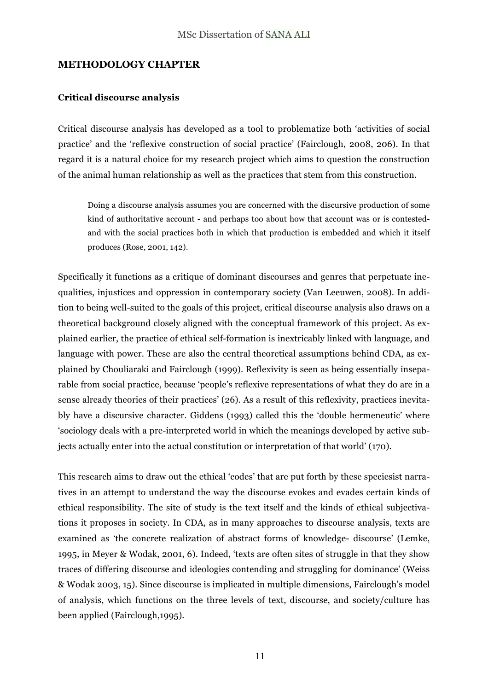## **METHODOLOGY CHAPTER**

#### **Critical discourse analysis**

Critical discourse analysis has developed as a tool to problematize both 'activities of social practice' and the 'reflexive construction of social practice' (Fairclough, 2008, 206). In that regard it is a natural choice for my research project which aims to question the construction of the animal human relationship as well as the practices that stem from this construction.

Doing a discourse analysis assumes you are concerned with the discursive production of some kind of authoritative account - and perhaps too about how that account was or is contestedand with the social practices both in which that production is embedded and which it itself produces (Rose, 2001, 142).

Specifically it functions as a critique of dominant discourses and genres that perpetuate inequalities, injustices and oppression in contemporary society (Van Leeuwen, 2008). In addition to being well-suited to the goals of this project, critical discourse analysis also draws on a theoretical background closely aligned with the conceptual framework of this project. As explained earlier, the practice of ethical self-formation is inextricably linked with language, and language with power. These are also the central theoretical assumptions behind CDA, as explained by Chouliaraki and Fairclough (1999). Reflexivity is seen as being essentially inseparable from social practice, because 'people's reflexive representations of what they do are in a sense already theories of their practices' (26). As a result of this reflexivity, practices inevitably have a discursive character. Giddens (1993) called this the 'double hermeneutic' where 'sociology deals with a pre-interpreted world in which the meanings developed by active subjects actually enter into the actual constitution or interpretation of that world' (170).

This research aims to draw out the ethical 'codes' that are put forth by these speciesist narratives in an attempt to understand the way the discourse evokes and evades certain kinds of ethical responsibility. The site of study is the text itself and the kinds of ethical subjectivations it proposes in society. In CDA, as in many approaches to discourse analysis, texts are examined as 'the concrete realization of abstract forms of knowledge- discourse' (Lemke, 1995, in Meyer & Wodak, 2001, 6). Indeed, 'texts are often sites of struggle in that they show traces of differing discourse and ideologies contending and struggling for dominance' (Weiss & Wodak 2003, 15). Since discourse is implicated in multiple dimensions, Fairclough's model of analysis, which functions on the three levels of text, discourse, and society/culture has been applied (Fairclough,1995).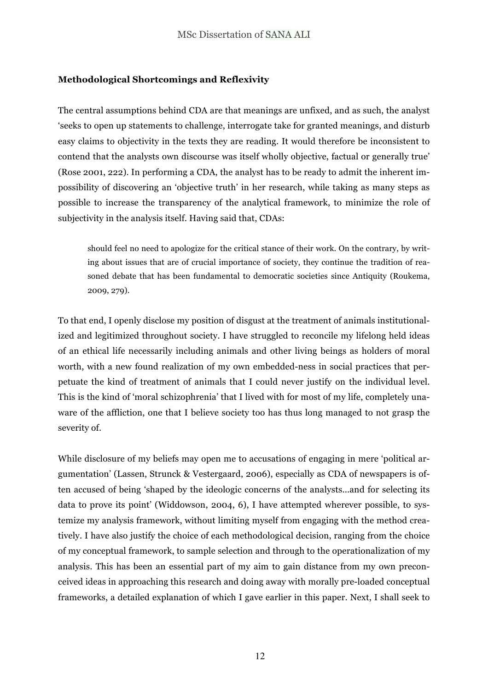## **Methodological Shortcomings and Reflexivity**

The central assumptions behind CDA are that meanings are unfixed, and as such, the analyst 'seeks to open up statements to challenge, interrogate take for granted meanings, and disturb easy claims to objectivity in the texts they are reading. It would therefore be inconsistent to contend that the analysts own discourse was itself wholly objective, factual or generally true' (Rose 2001, 222). In performing a CDA, the analyst has to be ready to admit the inherent impossibility of discovering an 'objective truth' in her research, while taking as many steps as possible to increase the transparency of the analytical framework, to minimize the role of subjectivity in the analysis itself. Having said that, CDAs:

should feel no need to apologize for the critical stance of their work. On the contrary, by writing about issues that are of crucial importance of society, they continue the tradition of reasoned debate that has been fundamental to democratic societies since Antiquity (Roukema, 2009, 279).

To that end, I openly disclose my position of disgust at the treatment of animals institutionalized and legitimized throughout society. I have struggled to reconcile my lifelong held ideas of an ethical life necessarily including animals and other living beings as holders of moral worth, with a new found realization of my own embedded-ness in social practices that perpetuate the kind of treatment of animals that I could never justify on the individual level. This is the kind of 'moral schizophrenia' that I lived with for most of my life, completely unaware of the affliction, one that I believe society too has thus long managed to not grasp the severity of.

While disclosure of my beliefs may open me to accusations of engaging in mere 'political argumentation' (Lassen, Strunck & Vestergaard, 2006), especially as CDA of newspapers is often accused of being 'shaped by the ideologic concerns of the analysts...and for selecting its data to prove its point' (Widdowson, 2004, 6), I have attempted wherever possible, to systemize my analysis framework, without limiting myself from engaging with the method creatively. I have also justify the choice of each methodological decision, ranging from the choice of my conceptual framework, to sample selection and through to the operationalization of my analysis. This has been an essential part of my aim to gain distance from my own preconceived ideas in approaching this research and doing away with morally pre-loaded conceptual frameworks, a detailed explanation of which I gave earlier in this paper. Next, I shall seek to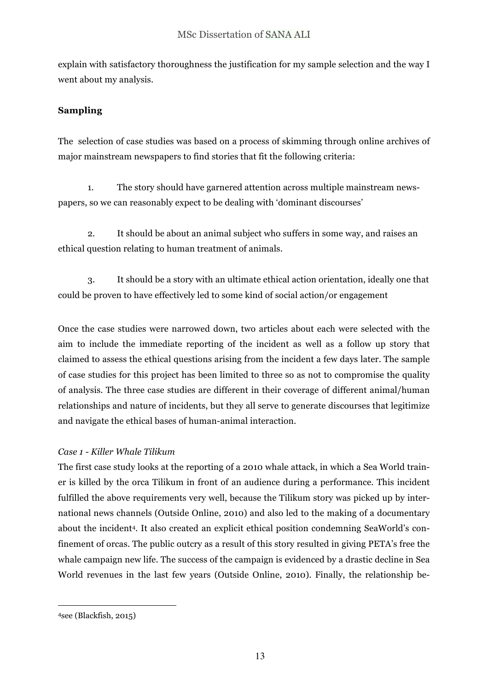explain with satisfactory thoroughness the justification for my sample selection and the way I went about my analysis.

## **Sampling**

The selection of case studies was based on a process of skimming through online archives of major mainstream newspapers to find stories that fit the following criteria:

1. The story should have garnered attention across multiple mainstream newspapers, so we can reasonably expect to be dealing with 'dominant discourses'

2. It should be about an animal subject who suffers in some way, and raises an ethical question relating to human treatment of animals.

3. It should be a story with an ultimate ethical action orientation, ideally one that could be proven to have effectively led to some kind of social action/or engagement

Once the case studies were narrowed down, two articles about each were selected with the aim to include the immediate reporting of the incident as well as a follow up story that claimed to assess the ethical questions arising from the incident a few days later. The sample of case studies for this project has been limited to three so as not to compromise the quality of analysis. The three case studies are different in their coverage of different animal/human relationships and nature of incidents, but they all serve to generate discourses that legitimize and navigate the ethical bases of human-animal interaction.

## *Case 1 - Killer Whale Tilikum*

The first case study looks at the reporting of a 2010 whale attack, in which a Sea World trainer is killed by the orca Tilikum in front of an audience during a performance. This incident fulfilled the above requirements very well, because the Tilikum story was picked up by international news channels (Outside Online, 2010) and also led to the making of a documentary about the incident4. It also created an explicit ethical position condemning SeaWorld's confinement of orcas. The public outcry as a result of this story resulted in giving PETA's free the whale campaign new life. The success of the campaign is evidenced by a drastic decline in Sea World revenues in the last few years (Outside Online, 2010). Finally, the relationship be-

 $\overline{a}$ 

<sup>4</sup>see (Blackfish, 2015)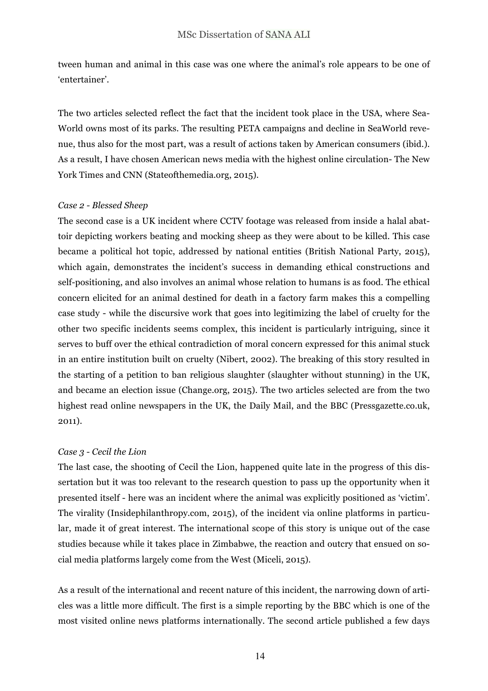tween human and animal in this case was one where the animal's role appears to be one of 'entertainer'.

The two articles selected reflect the fact that the incident took place in the USA, where Sea-World owns most of its parks. The resulting PETA campaigns and decline in SeaWorld revenue, thus also for the most part, was a result of actions taken by American consumers (ibid.). As a result, I have chosen American news media with the highest online circulation- The New York Times and CNN (Stateofthemedia.org, 2015).

#### *Case 2 - Blessed Sheep*

The second case is a UK incident where CCTV footage was released from inside a halal abattoir depicting workers beating and mocking sheep as they were about to be killed. This case became a political hot topic, addressed by national entities (British National Party, 2015), which again, demonstrates the incident's success in demanding ethical constructions and self-positioning, and also involves an animal whose relation to humans is as food. The ethical concern elicited for an animal destined for death in a factory farm makes this a compelling case study - while the discursive work that goes into legitimizing the label of cruelty for the other two specific incidents seems complex, this incident is particularly intriguing, since it serves to buff over the ethical contradiction of moral concern expressed for this animal stuck in an entire institution built on cruelty (Nibert, 2002). The breaking of this story resulted in the starting of a petition to ban religious slaughter (slaughter without stunning) in the UK, and became an election issue (Change.org, 2015). The two articles selected are from the two highest read online newspapers in the UK, the Daily Mail, and the BBC (Pressgazette.co.uk, 2011).

## *Case 3 - Cecil the Lion*

The last case, the shooting of Cecil the Lion, happened quite late in the progress of this dissertation but it was too relevant to the research question to pass up the opportunity when it presented itself - here was an incident where the animal was explicitly positioned as 'victim'. The virality (Insidephilanthropy.com, 2015), of the incident via online platforms in particular, made it of great interest. The international scope of this story is unique out of the case studies because while it takes place in Zimbabwe, the reaction and outcry that ensued on social media platforms largely come from the West (Miceli, 2015).

As a result of the international and recent nature of this incident, the narrowing down of articles was a little more difficult. The first is a simple reporting by the BBC which is one of the most visited online news platforms internationally. The second article published a few days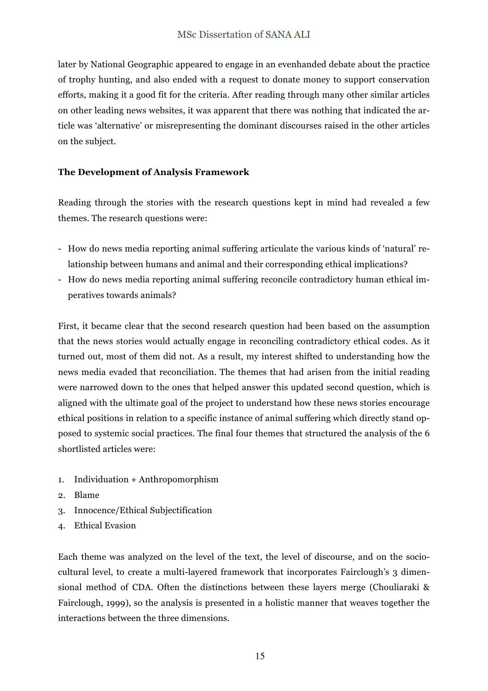later by National Geographic appeared to engage in an evenhanded debate about the practice of trophy hunting, and also ended with a request to donate money to support conservation efforts, making it a good fit for the criteria. After reading through many other similar articles on other leading news websites, it was apparent that there was nothing that indicated the article was 'alternative' or misrepresenting the dominant discourses raised in the other articles on the subject.

## **The Development of Analysis Framework**

Reading through the stories with the research questions kept in mind had revealed a few themes. The research questions were:

- How do news media reporting animal suffering articulate the various kinds of 'natural' relationship between humans and animal and their corresponding ethical implications?
- How do news media reporting animal suffering reconcile contradictory human ethical imperatives towards animals?

First, it became clear that the second research question had been based on the assumption that the news stories would actually engage in reconciling contradictory ethical codes. As it turned out, most of them did not. As a result, my interest shifted to understanding how the news media evaded that reconciliation. The themes that had arisen from the initial reading were narrowed down to the ones that helped answer this updated second question, which is aligned with the ultimate goal of the project to understand how these news stories encourage ethical positions in relation to a specific instance of animal suffering which directly stand opposed to systemic social practices. The final four themes that structured the analysis of the 6 shortlisted articles were:

- 1. Individuation + Anthropomorphism
- 2. Blame
- 3. Innocence/Ethical Subjectification
- 4. Ethical Evasion

Each theme was analyzed on the level of the text, the level of discourse, and on the sociocultural level, to create a multi-layered framework that incorporates Fairclough's 3 dimensional method of CDA. Often the distinctions between these layers merge (Chouliaraki & Fairclough, 1999), so the analysis is presented in a holistic manner that weaves together the interactions between the three dimensions.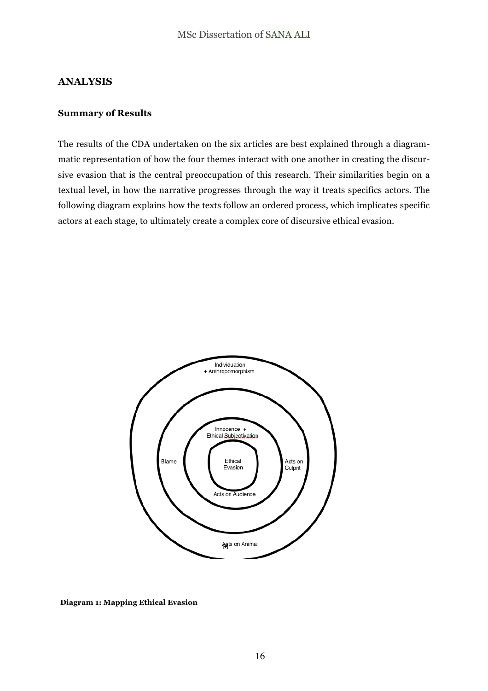## **ANALYSIS**

#### **Summary of Results**

The results of the CDA undertaken on the six articles are best explained through a diagrammatic representation of how the four themes interact with one another in creating the discursive evasion that is the central preoccupation of this research. Their similarities begin on a textual level, in how the narrative progresses through the way it treats specifics actors. The following diagram explains how the texts follow an ordered process, which implicates specific actors at each stage, to ultimately create a complex core of discursive ethical evasion.



**Diagram 1: Mapping Ethical Evasion**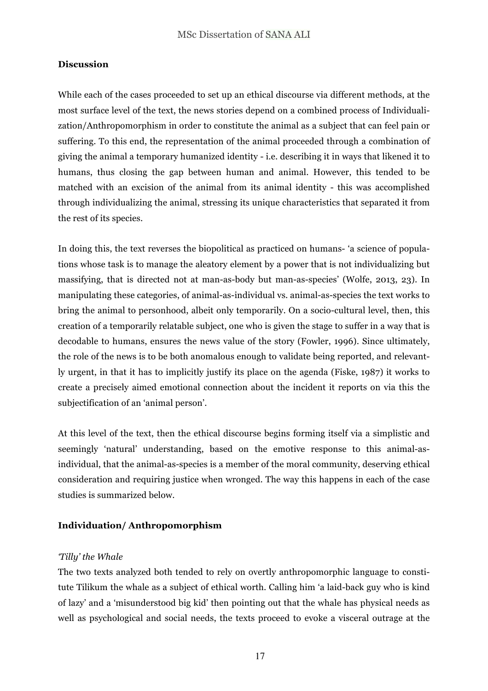#### **Discussion**

While each of the cases proceeded to set up an ethical discourse via different methods, at the most surface level of the text, the news stories depend on a combined process of Individualization/Anthropomorphism in order to constitute the animal as a subject that can feel pain or suffering. To this end, the representation of the animal proceeded through a combination of giving the animal a temporary humanized identity - i.e. describing it in ways that likened it to humans, thus closing the gap between human and animal. However, this tended to be matched with an excision of the animal from its animal identity - this was accomplished through individualizing the animal, stressing its unique characteristics that separated it from the rest of its species.

In doing this, the text reverses the biopolitical as practiced on humans- 'a science of populations whose task is to manage the aleatory element by a power that is not individualizing but massifying, that is directed not at man-as-body but man-as-species' (Wolfe, 2013, 23). In manipulating these categories, of animal-as-individual vs. animal-as-species the text works to bring the animal to personhood, albeit only temporarily. On a socio-cultural level, then, this creation of a temporarily relatable subject, one who is given the stage to suffer in a way that is decodable to humans, ensures the news value of the story (Fowler, 1996). Since ultimately, the role of the news is to be both anomalous enough to validate being reported, and relevantly urgent, in that it has to implicitly justify its place on the agenda (Fiske, 1987) it works to create a precisely aimed emotional connection about the incident it reports on via this the subjectification of an 'animal person'.

At this level of the text, then the ethical discourse begins forming itself via a simplistic and seemingly 'natural' understanding, based on the emotive response to this animal-asindividual, that the animal-as-species is a member of the moral community, deserving ethical consideration and requiring justice when wronged. The way this happens in each of the case studies is summarized below.

## **Individuation/ Anthropomorphism**

#### *'Tilly' the Whale*

The two texts analyzed both tended to rely on overtly anthropomorphic language to constitute Tilikum the whale as a subject of ethical worth. Calling him 'a laid-back guy who is kind of lazy' and a 'misunderstood big kid' then pointing out that the whale has physical needs as well as psychological and social needs, the texts proceed to evoke a visceral outrage at the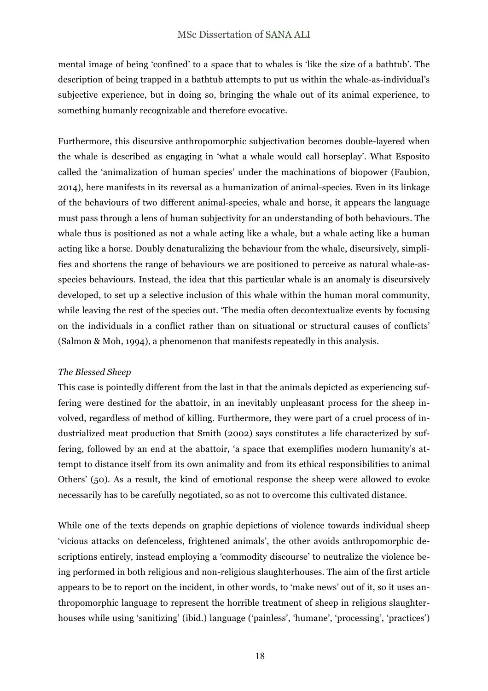mental image of being 'confined' to a space that to whales is 'like the size of a bathtub'. The description of being trapped in a bathtub attempts to put us within the whale-as-individual's subjective experience, but in doing so, bringing the whale out of its animal experience, to something humanly recognizable and therefore evocative.

Furthermore, this discursive anthropomorphic subjectivation becomes double-layered when the whale is described as engaging in 'what a whale would call horseplay'. What Esposito called the 'animalization of human species' under the machinations of biopower (Faubion, 2014), here manifests in its reversal as a humanization of animal-species. Even in its linkage of the behaviours of two different animal-species, whale and horse, it appears the language must pass through a lens of human subjectivity for an understanding of both behaviours. The whale thus is positioned as not a whale acting like a whale, but a whale acting like a human acting like a horse. Doubly denaturalizing the behaviour from the whale, discursively, simplifies and shortens the range of behaviours we are positioned to perceive as natural whale-asspecies behaviours. Instead, the idea that this particular whale is an anomaly is discursively developed, to set up a selective inclusion of this whale within the human moral community, while leaving the rest of the species out. 'The media often decontextualize events by focusing on the individuals in a conflict rather than on situational or structural causes of conflicts' (Salmon & Moh, 1994), a phenomenon that manifests repeatedly in this analysis.

#### *The Blessed Sheep*

This case is pointedly different from the last in that the animals depicted as experiencing suffering were destined for the abattoir, in an inevitably unpleasant process for the sheep involved, regardless of method of killing. Furthermore, they were part of a cruel process of industrialized meat production that Smith (2002) says constitutes a life characterized by suffering, followed by an end at the abattoir, 'a space that exemplifies modern humanity's attempt to distance itself from its own animality and from its ethical responsibilities to animal Others' (50). As a result, the kind of emotional response the sheep were allowed to evoke necessarily has to be carefully negotiated, so as not to overcome this cultivated distance.

While one of the texts depends on graphic depictions of violence towards individual sheep 'vicious attacks on defenceless, frightened animals', the other avoids anthropomorphic descriptions entirely, instead employing a 'commodity discourse' to neutralize the violence being performed in both religious and non-religious slaughterhouses. The aim of the first article appears to be to report on the incident, in other words, to 'make news' out of it, so it uses anthropomorphic language to represent the horrible treatment of sheep in religious slaughterhouses while using 'sanitizing' (ibid.) language ('painless', 'humane', 'processing', 'practices')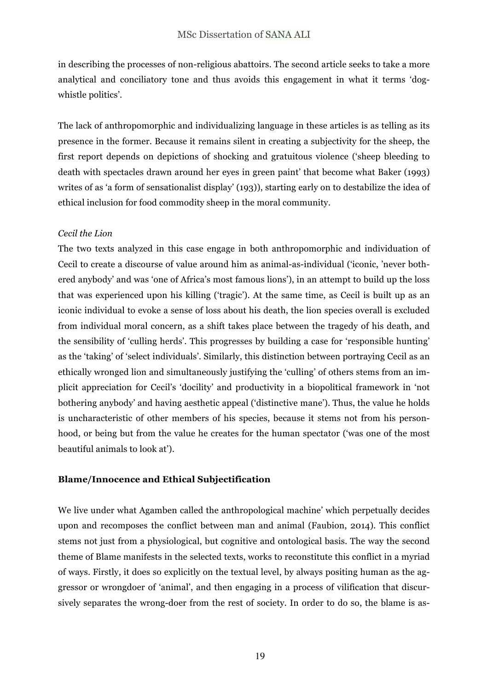in describing the processes of non-religious abattoirs. The second article seeks to take a more analytical and conciliatory tone and thus avoids this engagement in what it terms 'dogwhistle politics'.

The lack of anthropomorphic and individualizing language in these articles is as telling as its presence in the former. Because it remains silent in creating a subjectivity for the sheep, the first report depends on depictions of shocking and gratuitous violence ('sheep bleeding to death with spectacles drawn around her eyes in green paint' that become what Baker (1993) writes of as 'a form of sensationalist display' (193)), starting early on to destabilize the idea of ethical inclusion for food commodity sheep in the moral community.

## *Cecil the Lion*

The two texts analyzed in this case engage in both anthropomorphic and individuation of Cecil to create a discourse of value around him as animal-as-individual ('iconic, 'never bothered anybody' and was 'one of Africa's most famous lions'), in an attempt to build up the loss that was experienced upon his killing ('tragic'). At the same time, as Cecil is built up as an iconic individual to evoke a sense of loss about his death, the lion species overall is excluded from individual moral concern, as a shift takes place between the tragedy of his death, and the sensibility of 'culling herds'. This progresses by building a case for 'responsible hunting' as the 'taking' of 'select individuals'. Similarly, this distinction between portraying Cecil as an ethically wronged lion and simultaneously justifying the 'culling' of others stems from an implicit appreciation for Cecil's 'docility' and productivity in a biopolitical framework in 'not bothering anybody' and having aesthetic appeal ('distinctive mane'). Thus, the value he holds is uncharacteristic of other members of his species, because it stems not from his personhood, or being but from the value he creates for the human spectator ('was one of the most beautiful animals to look at').

## **Blame/Innocence and Ethical Subjectification**

We live under what Agamben called the anthropological machine' which perpetually decides upon and recomposes the conflict between man and animal (Faubion, 2014). This conflict stems not just from a physiological, but cognitive and ontological basis. The way the second theme of Blame manifests in the selected texts, works to reconstitute this conflict in a myriad of ways. Firstly, it does so explicitly on the textual level, by always positing human as the aggressor or wrongdoer of 'animal', and then engaging in a process of vilification that discursively separates the wrong-doer from the rest of society. In order to do so, the blame is as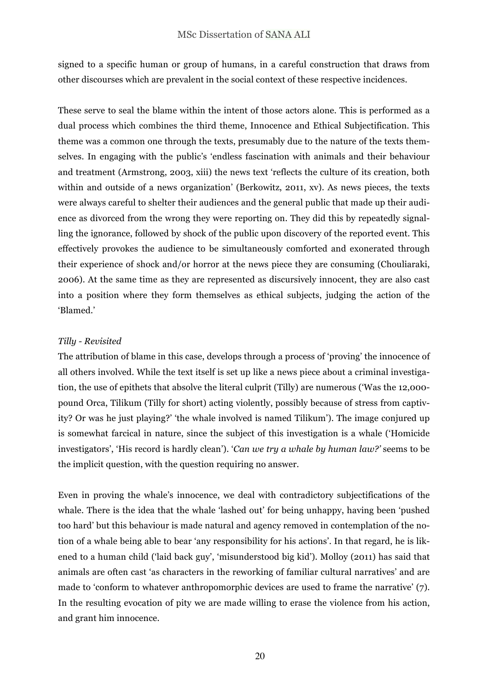signed to a specific human or group of humans, in a careful construction that draws from other discourses which are prevalent in the social context of these respective incidences.

These serve to seal the blame within the intent of those actors alone. This is performed as a dual process which combines the third theme, Innocence and Ethical Subjectification. This theme was a common one through the texts, presumably due to the nature of the texts themselves. In engaging with the public's 'endless fascination with animals and their behaviour and treatment (Armstrong, 2003, xiii) the news text 'reflects the culture of its creation, both within and outside of a news organization' (Berkowitz, 2011, xv). As news pieces, the texts were always careful to shelter their audiences and the general public that made up their audience as divorced from the wrong they were reporting on. They did this by repeatedly signalling the ignorance, followed by shock of the public upon discovery of the reported event. This effectively provokes the audience to be simultaneously comforted and exonerated through their experience of shock and/or horror at the news piece they are consuming (Chouliaraki, 2006). At the same time as they are represented as discursively innocent, they are also cast into a position where they form themselves as ethical subjects, judging the action of the 'Blamed.'

#### *Tilly - Revisited*

The attribution of blame in this case, develops through a process of 'proving' the innocence of all others involved. While the text itself is set up like a news piece about a criminal investigation, the use of epithets that absolve the literal culprit (Tilly) are numerous ('Was the 12,000 pound Orca, Tilikum (Tilly for short) acting violently, possibly because of stress from captivity? Or was he just playing?' 'the whale involved is named Tilikum'). The image conjured up is somewhat farcical in nature, since the subject of this investigation is a whale ('Homicide investigators', 'His record is hardly clean'). '*Can we try a whale by human law?'* seems to be the implicit question, with the question requiring no answer.

Even in proving the whale's innocence, we deal with contradictory subjectifications of the whale. There is the idea that the whale 'lashed out' for being unhappy, having been 'pushed too hard' but this behaviour is made natural and agency removed in contemplation of the notion of a whale being able to bear 'any responsibility for his actions'. In that regard, he is likened to a human child ('laid back guy', 'misunderstood big kid'). Molloy (2011) has said that animals are often cast 'as characters in the reworking of familiar cultural narratives' and are made to 'conform to whatever anthropomorphic devices are used to frame the narrative' (7). In the resulting evocation of pity we are made willing to erase the violence from his action, and grant him innocence.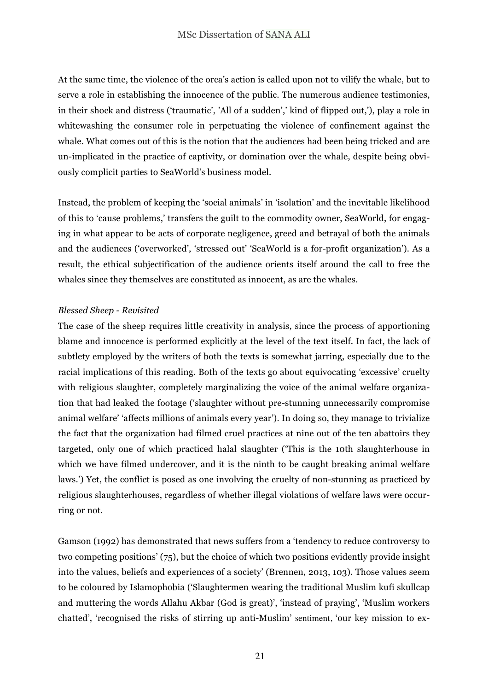At the same time, the violence of the orca's action is called upon not to vilify the whale, but to serve a role in establishing the innocence of the public. The numerous audience testimonies, in their shock and distress ('traumatic', 'All of a sudden',' kind of flipped out,'), play a role in whitewashing the consumer role in perpetuating the violence of confinement against the whale. What comes out of this is the notion that the audiences had been being tricked and are un-implicated in the practice of captivity, or domination over the whale, despite being obviously complicit parties to SeaWorld's business model.

Instead, the problem of keeping the 'social animals' in 'isolation' and the inevitable likelihood of this to 'cause problems,' transfers the guilt to the commodity owner, SeaWorld, for engaging in what appear to be acts of corporate negligence, greed and betrayal of both the animals and the audiences ('overworked', 'stressed out' 'SeaWorld is a for-profit organization'). As a result, the ethical subjectification of the audience orients itself around the call to free the whales since they themselves are constituted as innocent, as are the whales.

#### *Blessed Sheep - Revisited*

The case of the sheep requires little creativity in analysis, since the process of apportioning blame and innocence is performed explicitly at the level of the text itself. In fact, the lack of subtlety employed by the writers of both the texts is somewhat jarring, especially due to the racial implications of this reading. Both of the texts go about equivocating 'excessive' cruelty with religious slaughter, completely marginalizing the voice of the animal welfare organization that had leaked the footage ('slaughter without pre-stunning unnecessarily compromise animal welfare' 'affects millions of animals every year'). In doing so, they manage to trivialize the fact that the organization had filmed cruel practices at nine out of the ten abattoirs they targeted, only one of which practiced halal slaughter ('This is the 10th slaughterhouse in which we have filmed undercover, and it is the ninth to be caught breaking animal welfare laws.') Yet, the conflict is posed as one involving the cruelty of non-stunning as practiced by religious slaughterhouses, regardless of whether illegal violations of welfare laws were occurring or not.

Gamson (1992) has demonstrated that news suffers from a 'tendency to reduce controversy to two competing positions' (75), but the choice of which two positions evidently provide insight into the values, beliefs and experiences of a society' (Brennen, 2013, 103). Those values seem to be coloured by Islamophobia ('Slaughtermen wearing the traditional Muslim kufi skullcap and muttering the words Allahu Akbar (God is great)', 'instead of praying', 'Muslim workers chatted', 'recognised the risks of stirring up anti-Muslim' sentiment, 'our key mission to ex-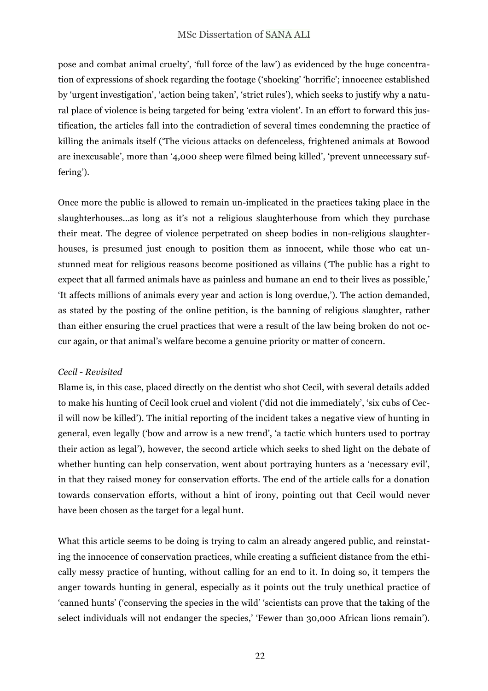#### MSc Dissertation of SANA ALI

pose and combat animal cruelty', 'full force of the law') as evidenced by the huge concentration of expressions of shock regarding the footage ('shocking' 'horrific'; innocence established by 'urgent investigation', 'action being taken', 'strict rules'), which seeks to justify why a natural place of violence is being targeted for being 'extra violent'. In an effort to forward this justification, the articles fall into the contradiction of several times condemning the practice of killing the animals itself ('The vicious attacks on defenceless, frightened animals at Bowood are inexcusable', more than '4,000 sheep were filmed being killed', 'prevent unnecessary suffering').

Once more the public is allowed to remain un-implicated in the practices taking place in the slaughterhouses...as long as it's not a religious slaughterhouse from which they purchase their meat. The degree of violence perpetrated on sheep bodies in non-religious slaughterhouses, is presumed just enough to position them as innocent, while those who eat unstunned meat for religious reasons become positioned as villains ('The public has a right to expect that all farmed animals have as painless and humane an end to their lives as possible,' 'It affects millions of animals every year and action is long overdue,'). The action demanded, as stated by the posting of the online petition, is the banning of religious slaughter, rather than either ensuring the cruel practices that were a result of the law being broken do not occur again, or that animal's welfare become a genuine priority or matter of concern.

#### *Cecil - Revisited*

Blame is, in this case, placed directly on the dentist who shot Cecil, with several details added to make his hunting of Cecil look cruel and violent ('did not die immediately', 'six cubs of Cecil will now be killed'). The initial reporting of the incident takes a negative view of hunting in general, even legally ('bow and arrow is a new trend', 'a tactic which hunters used to portray their action as legal'), however, the second article which seeks to shed light on the debate of whether hunting can help conservation, went about portraying hunters as a 'necessary evil', in that they raised money for conservation efforts. The end of the article calls for a donation towards conservation efforts, without a hint of irony, pointing out that Cecil would never have been chosen as the target for a legal hunt.

What this article seems to be doing is trying to calm an already angered public, and reinstating the innocence of conservation practices, while creating a sufficient distance from the ethically messy practice of hunting, without calling for an end to it. In doing so, it tempers the anger towards hunting in general, especially as it points out the truly unethical practice of 'canned hunts' ('conserving the species in the wild' 'scientists can prove that the taking of the select individuals will not endanger the species,' 'Fewer than 30,000 African lions remain').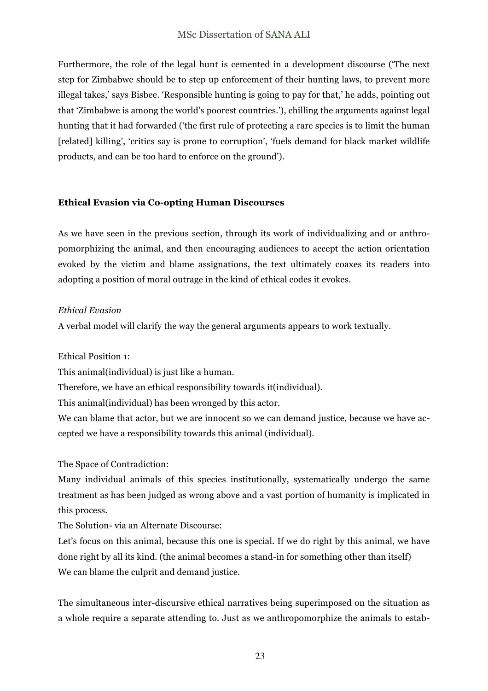Furthermore, the role of the legal hunt is cemented in a development discourse ('The next step for Zimbabwe should be to step up enforcement of their hunting laws, to prevent more illegal takes,' says Bisbee. 'Responsible hunting is going to pay for that,' he adds, pointing out that 'Zimbabwe is among the world's poorest countries.'), chilling the arguments against legal hunting that it had forwarded ('the first rule of protecting a rare species is to limit the human [related] killing', 'critics say is prone to corruption', 'fuels demand for black market wildlife products, and can be too hard to enforce on the ground').

## **Ethical Evasion via Co-opting Human Discourses**

As we have seen in the previous section, through its work of individualizing and or anthropomorphizing the animal, and then encouraging audiences to accept the action orientation evoked by the victim and blame assignations, the text ultimately coaxes its readers into adopting a position of moral outrage in the kind of ethical codes it evokes.

#### *Ethical Evasion*

A verbal model will clarify the way the general arguments appears to work textually.

Ethical Position 1:

This animal(individual) is just like a human.

Therefore, we have an ethical responsibility towards it(individual).

This animal(individual) has been wronged by this actor.

We can blame that actor, but we are innocent so we can demand justice, because we have accepted we have a responsibility towards this animal (individual).

The Space of Contradiction:

Many individual animals of this species institutionally, systematically undergo the same treatment as has been judged as wrong above and a vast portion of humanity is implicated in this process.

The Solution- via an Alternate Discourse:

Let's focus on this animal, because this one is special. If we do right by this animal, we have done right by all its kind. (the animal becomes a stand-in for something other than itself) We can blame the culprit and demand justice.

The simultaneous inter-discursive ethical narratives being superimposed on the situation as a whole require a separate attending to. Just as we anthropomorphize the animals to estab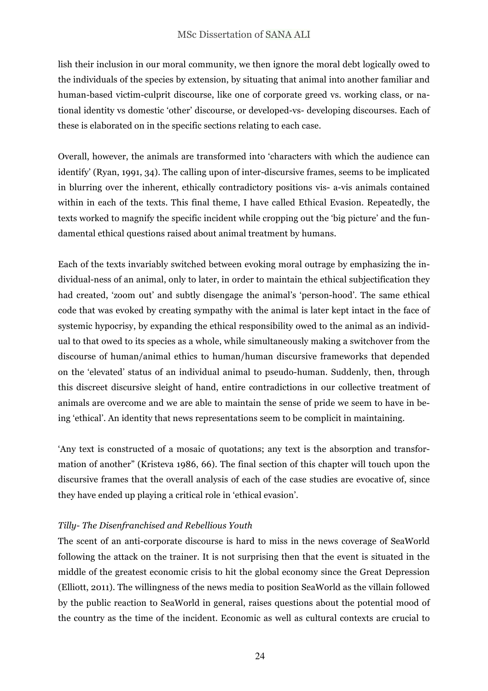lish their inclusion in our moral community, we then ignore the moral debt logically owed to the individuals of the species by extension, by situating that animal into another familiar and human-based victim-culprit discourse, like one of corporate greed vs. working class, or national identity vs domestic 'other' discourse, or developed-vs- developing discourses. Each of these is elaborated on in the specific sections relating to each case.

Overall, however, the animals are transformed into 'characters with which the audience can identify' (Ryan, 1991, 34). The calling upon of inter-discursive frames, seems to be implicated in blurring over the inherent, ethically contradictory positions vis- a-vis animals contained within in each of the texts. This final theme, I have called Ethical Evasion. Repeatedly, the texts worked to magnify the specific incident while cropping out the 'big picture' and the fundamental ethical questions raised about animal treatment by humans.

Each of the texts invariably switched between evoking moral outrage by emphasizing the individual-ness of an animal, only to later, in order to maintain the ethical subjectification they had created, 'zoom out' and subtly disengage the animal's 'person-hood'. The same ethical code that was evoked by creating sympathy with the animal is later kept intact in the face of systemic hypocrisy, by expanding the ethical responsibility owed to the animal as an individual to that owed to its species as a whole, while simultaneously making a switchover from the discourse of human/animal ethics to human/human discursive frameworks that depended on the 'elevated' status of an individual animal to pseudo-human. Suddenly, then, through this discreet discursive sleight of hand, entire contradictions in our collective treatment of animals are overcome and we are able to maintain the sense of pride we seem to have in being 'ethical'. An identity that news representations seem to be complicit in maintaining.

'Any text is constructed of a mosaic of quotations; any text is the absorption and transformation of another" (Kristeva 1986, 66). The final section of this chapter will touch upon the discursive frames that the overall analysis of each of the case studies are evocative of, since they have ended up playing a critical role in 'ethical evasion'.

## *Tilly- The Disenfranchised and Rebellious Youth*

The scent of an anti-corporate discourse is hard to miss in the news coverage of SeaWorld following the attack on the trainer. It is not surprising then that the event is situated in the middle of the greatest economic crisis to hit the global economy since the Great Depression (Elliott, 2011). The willingness of the news media to position SeaWorld as the villain followed by the public reaction to SeaWorld in general, raises questions about the potential mood of the country as the time of the incident. Economic as well as cultural contexts are crucial to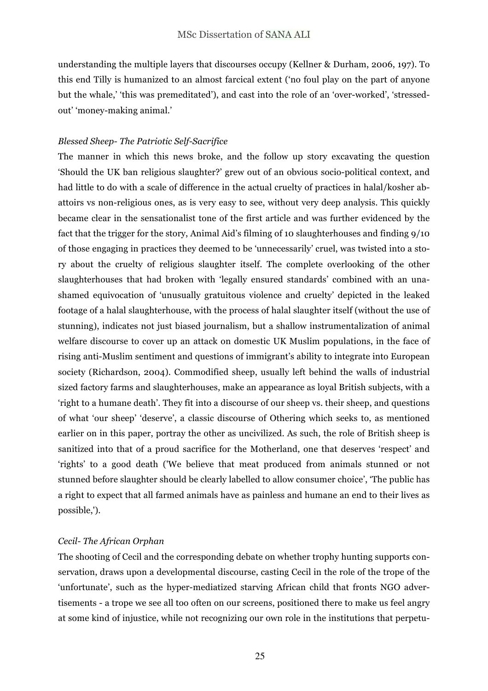understanding the multiple layers that discourses occupy (Kellner & Durham, 2006, 197). To this end Tilly is humanized to an almost farcical extent ('no foul play on the part of anyone but the whale,' 'this was premeditated'), and cast into the role of an 'over-worked', 'stressedout' 'money-making animal.'

#### *Blessed Sheep- The Patriotic Self-Sacrifice*

The manner in which this news broke, and the follow up story excavating the question 'Should the UK ban religious slaughter?' grew out of an obvious socio-political context, and had little to do with a scale of difference in the actual cruelty of practices in halal/kosher abattoirs vs non-religious ones, as is very easy to see, without very deep analysis. This quickly became clear in the sensationalist tone of the first article and was further evidenced by the fact that the trigger for the story, Animal Aid's filming of 10 slaughterhouses and finding 9/10 of those engaging in practices they deemed to be 'unnecessarily' cruel, was twisted into a story about the cruelty of religious slaughter itself. The complete overlooking of the other slaughterhouses that had broken with 'legally ensured standards' combined with an unashamed equivocation of 'unusually gratuitous violence and cruelty' depicted in the leaked footage of a halal slaughterhouse, with the process of halal slaughter itself (without the use of stunning), indicates not just biased journalism, but a shallow instrumentalization of animal welfare discourse to cover up an attack on domestic UK Muslim populations, in the face of rising anti-Muslim sentiment and questions of immigrant's ability to integrate into European society (Richardson, 2004). Commodified sheep, usually left behind the walls of industrial sized factory farms and slaughterhouses, make an appearance as loyal British subjects, with a 'right to a humane death'. They fit into a discourse of our sheep vs. their sheep, and questions of what 'our sheep' 'deserve', a classic discourse of Othering which seeks to, as mentioned earlier on in this paper, portray the other as uncivilized. As such, the role of British sheep is sanitized into that of a proud sacrifice for the Motherland, one that deserves 'respect' and 'rights' to a good death ('We believe that meat produced from animals stunned or not stunned before slaughter should be clearly labelled to allow consumer choice', 'The public has a right to expect that all farmed animals have as painless and humane an end to their lives as possible,').

#### *Cecil- The African Orphan*

The shooting of Cecil and the corresponding debate on whether trophy hunting supports conservation, draws upon a developmental discourse, casting Cecil in the role of the trope of the 'unfortunate', such as the hyper-mediatized starving African child that fronts NGO advertisements - a trope we see all too often on our screens, positioned there to make us feel angry at some kind of injustice, while not recognizing our own role in the institutions that perpetu-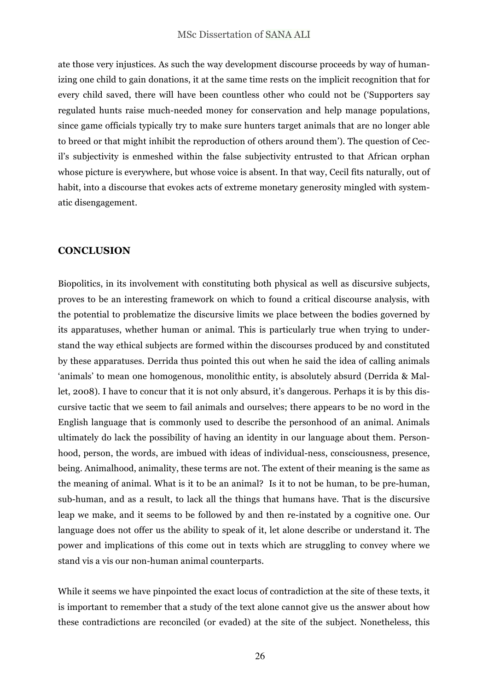#### MSc Dissertation of SANA ALI

ate those very injustices. As such the way development discourse proceeds by way of humanizing one child to gain donations, it at the same time rests on the implicit recognition that for every child saved, there will have been countless other who could not be ('Supporters say regulated hunts raise much-needed money for conservation and help manage populations, since game officials typically try to make sure hunters target animals that are no longer able to breed or that might inhibit the reproduction of others around them'). The question of Cecil's subjectivity is enmeshed within the false subjectivity entrusted to that African orphan whose picture is everywhere, but whose voice is absent. In that way, Cecil fits naturally, out of habit, into a discourse that evokes acts of extreme monetary generosity mingled with systematic disengagement.

#### **CONCLUSION**

Biopolitics, in its involvement with constituting both physical as well as discursive subjects, proves to be an interesting framework on which to found a critical discourse analysis, with the potential to problematize the discursive limits we place between the bodies governed by its apparatuses, whether human or animal. This is particularly true when trying to understand the way ethical subjects are formed within the discourses produced by and constituted by these apparatuses. Derrida thus pointed this out when he said the idea of calling animals 'animals' to mean one homogenous, monolithic entity, is absolutely absurd (Derrida & Mallet, 2008). I have to concur that it is not only absurd, it's dangerous. Perhaps it is by this discursive tactic that we seem to fail animals and ourselves; there appears to be no word in the English language that is commonly used to describe the personhood of an animal. Animals ultimately do lack the possibility of having an identity in our language about them. Personhood, person, the words, are imbued with ideas of individual-ness, consciousness, presence, being. Animalhood, animality, these terms are not. The extent of their meaning is the same as the meaning of animal. What is it to be an animal? Is it to not be human, to be pre-human, sub-human, and as a result, to lack all the things that humans have. That is the discursive leap we make, and it seems to be followed by and then re-instated by a cognitive one. Our language does not offer us the ability to speak of it, let alone describe or understand it. The power and implications of this come out in texts which are struggling to convey where we stand vis a vis our non-human animal counterparts.

While it seems we have pinpointed the exact locus of contradiction at the site of these texts, it is important to remember that a study of the text alone cannot give us the answer about how these contradictions are reconciled (or evaded) at the site of the subject. Nonetheless, this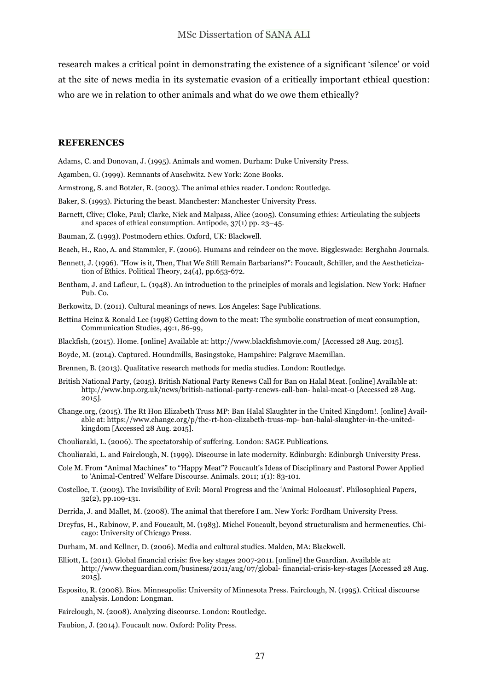research makes a critical point in demonstrating the existence of a significant 'silence' or void at the site of news media in its systematic evasion of a critically important ethical question: who are we in relation to other animals and what do we owe them ethically?

#### **REFERENCES**

Adams, C. and Donovan, J. (1995). Animals and women. Durham: Duke University Press.

Agamben, G. (1999). Remnants of Auschwitz. New York: Zone Books.

Armstrong, S. and Botzler, R. (2003). The animal ethics reader. London: Routledge.

Baker, S. (1993). Picturing the beast. Manchester: Manchester University Press.

- Barnett, Clive; Cloke, Paul; Clarke, Nick and Malpass, Alice (2005). Consuming ethics: Articulating the subjects and spaces of ethical consumption. Antipode, 37(1) pp. 23–45.
- Bauman, Z. (1993). Postmodern ethics. Oxford, UK: Blackwell.

Beach, H., Rao, A. and Stammler, F. (2006). Humans and reindeer on the move. Biggleswade: Berghahn Journals.

- Bennett, J. (1996). "How is it, Then, That We Still Remain Barbarians?": Foucault, Schiller, and the Aestheticization of Ethics. Political Theory, 24(4), pp.653-672.
- Bentham, J. and Lafleur, L. (1948). An introduction to the principles of morals and legislation. New York: Hafner Pub. Co.

Berkowitz, D. (2011). Cultural meanings of news. Los Angeles: Sage Publications.

- Bettina Heinz & Ronald Lee (1998) Getting down to the meat: The symbolic construction of meat consumption, Communication Studies, 49:1, 86-99,
- Blackfish, (2015). Home. [online] Available at: http://www.blackfishmovie.com/ [Accessed 28 Aug. 2015].
- Boyde, M. (2014). Captured. Houndmills, Basingstoke, Hampshire: Palgrave Macmillan.
- Brennen, B. (2013). Qualitative research methods for media studies. London: Routledge.
- British National Party, (2015). British National Party Renews Call for Ban on Halal Meat. [online] Available at: http://www.bnp.org.uk/news/british-national-party-renews-call-ban- halal-meat-0 [Accessed 28 Aug. 2015].
- Change.org, (2015). The Rt Hon Elizabeth Truss MP: Ban Halal Slaughter in the United Kingdom!. [online] Available at: https://www.change.org/p/the-rt-hon-elizabeth-truss-mp- ban-halal-slaughter-in-the-unitedkingdom [Accessed 28 Aug. 2015].
- Chouliaraki, L. (2006). The spectatorship of suffering. London: SAGE Publications.

Chouliaraki, L. and Fairclough, N. (1999). Discourse in late modernity. Edinburgh: Edinburgh University Press.

- Cole M. From "Animal Machines" to "Happy Meat"? Foucault's Ideas of Disciplinary and Pastoral Power Applied to 'Animal-Centred' Welfare Discourse. Animals. 2011; 1(1): 83-101.
- Costelloe, T. (2003). The Invisibility of Evil: Moral Progress and the 'Animal Holocaust'. Philosophical Papers, 32(2), pp.109-131.
- Derrida, J. and Mallet, M. (2008). The animal that therefore I am. New York: Fordham University Press.
- Dreyfus, H., Rabinow, P. and Foucault, M. (1983). Michel Foucault, beyond structuralism and hermeneutics. Chicago: University of Chicago Press.
- Durham, M. and Kellner, D. (2006). Media and cultural studies. Malden, MA: Blackwell.
- Elliott, L. (2011). Global financial crisis: five key stages 2007-2011. [online] the Guardian. Available at: http://www.theguardian.com/business/2011/aug/07/global- financial-crisis-key-stages [Accessed 28 Aug. 2015].
- Esposito, R. (2008). Bíos. Minneapolis: University of Minnesota Press. Fairclough, N. (1995). Critical discourse analysis. London: Longman.
- Fairclough, N. (2008). Analyzing discourse. London: Routledge.

Faubion, J. (2014). Foucault now. Oxford: Polity Press.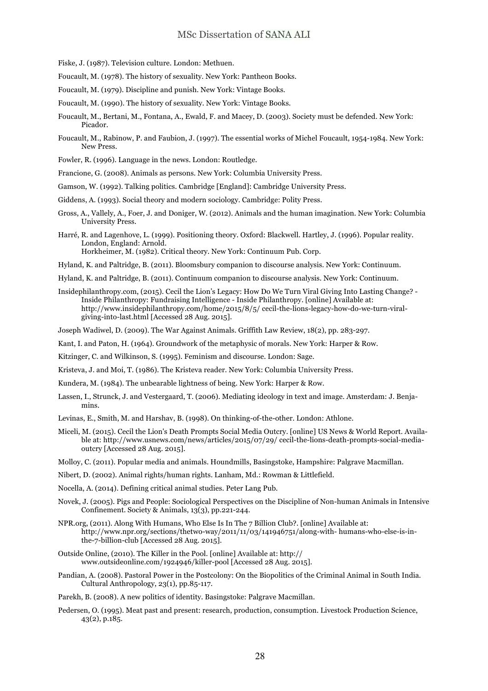#### MSc Dissertation of SANA ALI

Fiske, J. (1987). Television culture. London: Methuen.

- Foucault, M. (1978). The history of sexuality. New York: Pantheon Books.
- Foucault, M. (1979). Discipline and punish. New York: Vintage Books.
- Foucault, M. (1990). The history of sexuality. New York: Vintage Books.
- Foucault, M., Bertani, M., Fontana, A., Ewald, F. and Macey, D. (2003). Society must be defended. New York: Picador.
- Foucault, M., Rabinow, P. and Faubion, J. (1997). The essential works of Michel Foucault, 1954-1984. New York: New Press.
- Fowler, R. (1996). Language in the news. London: Routledge.
- Francione, G. (2008). Animals as persons. New York: Columbia University Press.
- Gamson, W. (1992). Talking politics. Cambridge [England]: Cambridge University Press.
- Giddens, A. (1993). Social theory and modern sociology. Cambridge: Polity Press.
- Gross, A., Vallely, A., Foer, J. and Doniger, W. (2012). Animals and the human imagination. New York: Columbia University Press.
- Harré, R. and Lagenhove, L. (1999). Positioning theory. Oxford: Blackwell. Hartley, J. (1996). Popular reality. London, England: Arnold. Horkheimer, M. (1982). Critical theory. New York: Continuum Pub. Corp.
- Hyland, K. and Paltridge, B. (2011). Bloomsbury companion to discourse analysis. New York: Continuum.
- Hyland, K. and Paltridge, B. (2011). Continuum companion to discourse analysis. New York: Continuum.
- Insidephilanthropy.com, (2015). Cecil the Lion's Legacy: How Do We Turn Viral Giving Into Lasting Change? Inside Philanthropy: Fundraising Intelligence - Inside Philanthropy. [online] Available at: http://www.insidephilanthropy.com/home/2015/8/5/ cecil-the-lions-legacy-how-do-we-turn-viralgiving-into-last.html [Accessed 28 Aug. 2015].

Joseph Wadiwel, D. (2009). The War Against Animals. Griffith Law Review, 18(2), pp. 283-297.

- Kant, I. and Paton, H. (1964). Groundwork of the metaphysic of morals. New York: Harper & Row.
- Kitzinger, C. and Wilkinson, S. (1995). Feminism and discourse. London: Sage.
- Kristeva, J. and Moi, T. (1986). The Kristeva reader. New York: Columbia University Press.
- Kundera, M. (1984). The unbearable lightness of being. New York: Harper & Row.
- Lassen, I., Strunck, J. and Vestergaard, T. (2006). Mediating ideology in text and image. Amsterdam: J. Benjamins.
- Levinas, E., Smith, M. and Harshav, B. (1998). On thinking-of-the-other. London: Athlone.
- Miceli, M. (2015). Cecil the Lion's Death Prompts Social Media Outcry. [online] US News & World Report. Available at: http://www.usnews.com/news/articles/2015/07/29/ cecil-the-lions-death-prompts-social-mediaoutcry [Accessed 28 Aug. 2015].
- Molloy, C. (2011). Popular media and animals. Houndmills, Basingstoke, Hampshire: Palgrave Macmillan.
- Nibert, D. (2002). Animal rights/human rights. Lanham, Md.: Rowman & Littlefield.
- Nocella, A. (2014). Defining critical animal studies. Peter Lang Pub.
- Novek, J. (2005). Pigs and People: Sociological Perspectives on the Discipline of Non-human Animals in Intensive Confinement. Society & Animals,  $13(3)$ , pp.221-244.
- NPR.org, (2011). Along With Humans, Who Else Is In The 7 Billion Club?. [online] Available at: http://www.npr.org/sections/thetwo-way/2011/11/03/141946751/along-with- humans-who-else-is-inthe-7-billion-club [Accessed 28 Aug. 2015].
- Outside Online, (2010). The Killer in the Pool. [online] Available at: http:// www.outsideonline.com/1924946/killer-pool [Accessed 28 Aug. 2015].
- Pandian, A. (2008). Pastoral Power in the Postcolony: On the Biopolitics of the Criminal Animal in South India. Cultural Anthropology, 23(1), pp.85-117.
- Parekh, B. (2008). A new politics of identity. Basingstoke: Palgrave Macmillan.
- Pedersen, O. (1995). Meat past and present: research, production, consumption. Livestock Production Science, 43(2), p.185.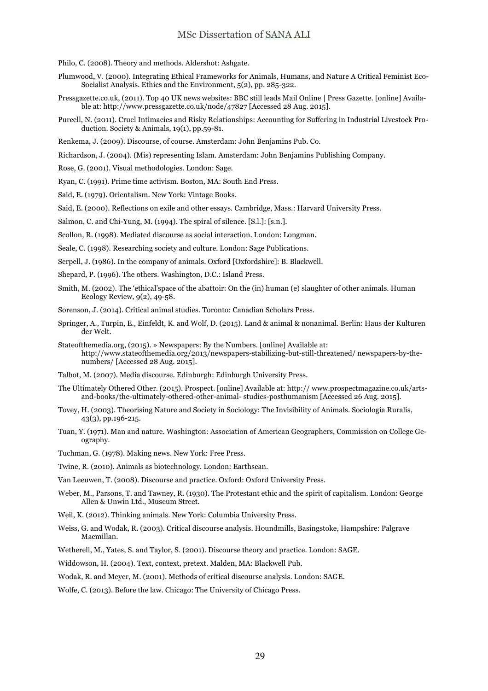Philo, C. (2008). Theory and methods. Aldershot: Ashgate.

- Plumwood, V. (2000). Integrating Ethical Frameworks for Animals, Humans, and Nature A Critical Feminist Eco-Socialist Analysis. Ethics and the Environment, 5(2), pp. 285-322.
- Pressgazette.co.uk, (2011). Top 40 UK news websites: BBC still leads Mail Online | Press Gazette. [online] Available at: http://www.pressgazette.co.uk/node/47827 [Accessed 28 Aug. 2015].
- Purcell, N. (2011). Cruel Intimacies and Risky Relationships: Accounting for Suffering in Industrial Livestock Production. Society & Animals, 19(1), pp.59-81.
- Renkema, J. (2009). Discourse, of course. Amsterdam: John Benjamins Pub. Co.
- Richardson, J. (2004). (Mis) representing Islam. Amsterdam: John Benjamins Publishing Company.
- Rose, G. (2001). Visual methodologies. London: Sage.
- Ryan, C. (1991). Prime time activism. Boston, MA: South End Press.
- Said, E. (1979). Orientalism. New York: Vintage Books.
- Said, E. (2000). Reflections on exile and other essays. Cambridge, Mass.: Harvard University Press.
- Salmon, C. and Chi-Yung, M. (1994). The spiral of silence. [S.l.]: [s.n.].
- Scollon, R. (1998). Mediated discourse as social interaction. London: Longman.
- Seale, C. (1998). Researching society and culture. London: Sage Publications.
- Serpell, J. (1986). In the company of animals. Oxford [Oxfordshire]: B. Blackwell.
- Shepard, P. (1996). The others. Washington, D.C.: Island Press.
- Smith, M. (2002). The 'ethical'space of the abattoir: On the (in) human (e) slaughter of other animals. Human Ecology Review, 9(2), 49-58.
- Sorenson, J. (2014). Critical animal studies. Toronto: Canadian Scholars Press.
- Springer, A., Turpin, E., Einfeldt, K. and Wolf, D. (2015). Land & animal & nonanimal. Berlin: Haus der Kulturen der Welt.
- Stateofthemedia.org, (2015). » Newspapers: By the Numbers. [online] Available at: http://www.stateofthemedia.org/2013/newspapers-stabilizing-but-still-threatened/ newspapers-by-thenumbers/ [Accessed 28 Aug. 2015].
- Talbot, M. (2007). Media discourse. Edinburgh: Edinburgh University Press.
- The Ultimately Othered Other. (2015). Prospect. [online] Available at: http:// www.prospectmagazine.co.uk/artsand-books/the-ultimately-othered-other-animal- studies-posthumanism [Accessed 26 Aug. 2015].
- Tovey, H. (2003). Theorising Nature and Society in Sociology: The Invisibility of Animals. Sociologia Ruralis, 43(3), pp.196-215.
- Tuan, Y. (1971). Man and nature. Washington: Association of American Geographers, Commission on College Geography.
- Tuchman, G. (1978). Making news. New York: Free Press.
- Twine, R. (2010). Animals as biotechnology. London: Earthscan.
- Van Leeuwen, T. (2008). Discourse and practice. Oxford: Oxford University Press.
- Weber, M., Parsons, T. and Tawney, R. (1930). The Protestant ethic and the spirit of capitalism. London: George Allen & Unwin Ltd., Museum Street.
- Weil, K. (2012). Thinking animals. New York: Columbia University Press.
- Weiss, G. and Wodak, R. (2003). Critical discourse analysis. Houndmills, Basingstoke, Hampshire: Palgrave Macmillan.
- Wetherell, M., Yates, S. and Taylor, S. (2001). Discourse theory and practice. London: SAGE.
- Widdowson, H. (2004). Text, context, pretext. Malden, MA: Blackwell Pub.
- Wodak, R. and Meyer, M. (2001). Methods of critical discourse analysis. London: SAGE.
- Wolfe, C. (2013). Before the law. Chicago: The University of Chicago Press.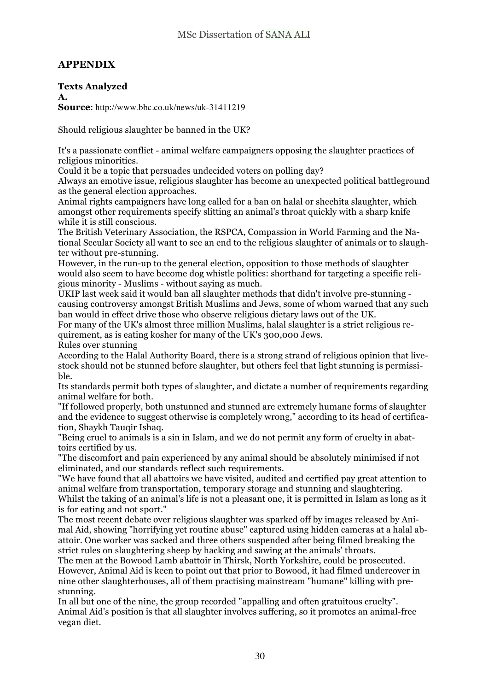## **APPENDIX**

## **Texts Analyzed**

**A. Source**: http://www.bbc.co.uk/news/uk-31411219

Should religious slaughter be banned in the UK?

It's a passionate conflict - animal welfare campaigners opposing the slaughter practices of religious minorities.

Could it be a topic that persuades undecided voters on polling day?

Always an emotive issue, religious slaughter has become an unexpected political battleground as the general election approaches.

Animal rights campaigners have long called for a ban on halal or shechita slaughter, which amongst other requirements specify slitting an animal's throat quickly with a sharp knife while it is still conscious.

The British Veterinary Association, the RSPCA, Compassion in World Farming and the National Secular Society all want to see an end to the religious slaughter of animals or to slaughter without pre-stunning.

However, in the run-up to the general election, opposition to those methods of slaughter would also seem to have become dog whistle politics: shorthand for targeting a specific religious minority - Muslims - without saying as much.

UKIP last week said it would ban all slaughter methods that didn't involve pre-stunning causing controversy amongst British Muslims and Jews, some of whom warned that any such ban would in effect drive those who observe religious dietary laws out of the UK.

For many of the UK's almost three million Muslims, halal slaughter is a strict religious requirement, as is eating kosher for many of the UK's 300,000 Jews.

Rules over stunning

According to the Halal Authority Board, there is a strong strand of religious opinion that livestock should not be stunned before slaughter, but others feel that light stunning is permissible.

Its standards permit both types of slaughter, and dictate a number of requirements regarding animal welfare for both.

"If followed properly, both unstunned and stunned are extremely humane forms of slaughter and the evidence to suggest otherwise is completely wrong," according to its head of certification, Shaykh Tauqir Ishaq.

"Being cruel to animals is a sin in Islam, and we do not permit any form of cruelty in abattoirs certified by us.

"The discomfort and pain experienced by any animal should be absolutely minimised if not eliminated, and our standards reflect such requirements.

"We have found that all abattoirs we have visited, audited and certified pay great attention to animal welfare from transportation, temporary storage and stunning and slaughtering. Whilst the taking of an animal's life is not a pleasant one, it is permitted in Islam as long as it is for eating and not sport."

The most recent debate over religious slaughter was sparked off by images released by Animal Aid, showing "horrifying yet routine abuse" captured using hidden cameras at a halal abattoir. One worker was sacked and three others suspended after being filmed breaking the strict rules on slaughtering sheep by hacking and sawing at the animals' throats.

The men at the Bowood Lamb abattoir in Thirsk, North Yorkshire, could be prosecuted. However, Animal Aid is keen to point out that prior to Bowood, it had filmed undercover in nine other slaughterhouses, all of them practising mainstream "humane" killing with prestunning.

In all but one of the nine, the group recorded "appalling and often gratuitous cruelty". Animal Aid's position is that all slaughter involves suffering, so it promotes an animal-free vegan diet.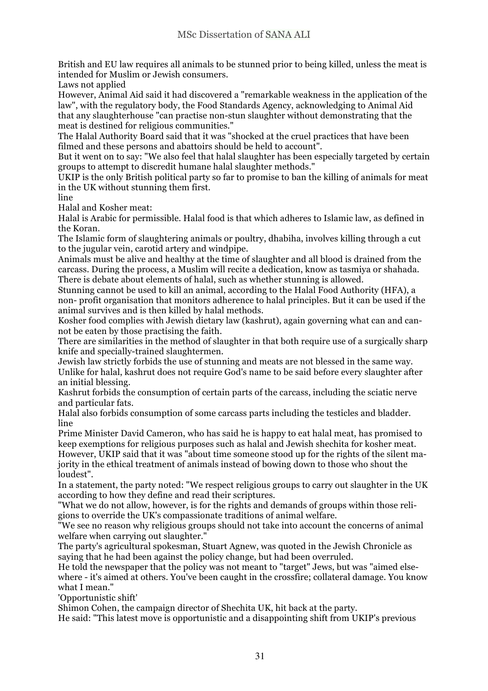British and EU law requires all animals to be stunned prior to being killed, unless the meat is intended for Muslim or Jewish consumers.

Laws not applied

However, Animal Aid said it had discovered a "remarkable weakness in the application of the law", with the regulatory body, the Food Standards Agency, acknowledging to Animal Aid that any slaughterhouse "can practise non-stun slaughter without demonstrating that the meat is destined for religious communities."

The Halal Authority Board said that it was "shocked at the cruel practices that have been filmed and these persons and abattoirs should be held to account".

But it went on to say: "We also feel that halal slaughter has been especially targeted by certain groups to attempt to discredit humane halal slaughter methods."

UKIP is the only British political party so far to promise to ban the killing of animals for meat in the UK without stunning them first.

line

Halal and Kosher meat:

Halal is Arabic for permissible. Halal food is that which adheres to Islamic law, as defined in the Koran.

The Islamic form of slaughtering animals or poultry, dhabiha, involves killing through a cut to the jugular vein, carotid artery and windpipe.

Animals must be alive and healthy at the time of slaughter and all blood is drained from the carcass. During the process, a Muslim will recite a dedication, know as tasmiya or shahada. There is debate about elements of halal, such as whether stunning is allowed.

Stunning cannot be used to kill an animal, according to the Halal Food Authority (HFA), a non- profit organisation that monitors adherence to halal principles. But it can be used if the animal survives and is then killed by halal methods.

Kosher food complies with Jewish dietary law (kashrut), again governing what can and cannot be eaten by those practising the faith.

There are similarities in the method of slaughter in that both require use of a surgically sharp knife and specially-trained slaughtermen.

Jewish law strictly forbids the use of stunning and meats are not blessed in the same way. Unlike for halal, kashrut does not require God's name to be said before every slaughter after an initial blessing.

Kashrut forbids the consumption of certain parts of the carcass, including the sciatic nerve and particular fats.

Halal also forbids consumption of some carcass parts including the testicles and bladder. line

Prime Minister David Cameron, who has said he is happy to eat halal meat, has promised to keep exemptions for religious purposes such as halal and Jewish shechita for kosher meat. However, UKIP said that it was "about time someone stood up for the rights of the silent majority in the ethical treatment of animals instead of bowing down to those who shout the loudest".

In a statement, the party noted: "We respect religious groups to carry out slaughter in the UK according to how they define and read their scriptures.

"What we do not allow, however, is for the rights and demands of groups within those religions to override the UK's compassionate traditions of animal welfare.

"We see no reason why religious groups should not take into account the concerns of animal welfare when carrying out slaughter."

The party's agricultural spokesman, Stuart Agnew, was quoted in the Jewish Chronicle as saying that he had been against the policy change, but had been overruled.

He told the newspaper that the policy was not meant to "target" Jews, but was "aimed elsewhere - it's aimed at others. You've been caught in the crossfire; collateral damage. You know what I mean."

'Opportunistic shift'

Shimon Cohen, the campaign director of Shechita UK, hit back at the party.

He said: "This latest move is opportunistic and a disappointing shift from UKIP's previous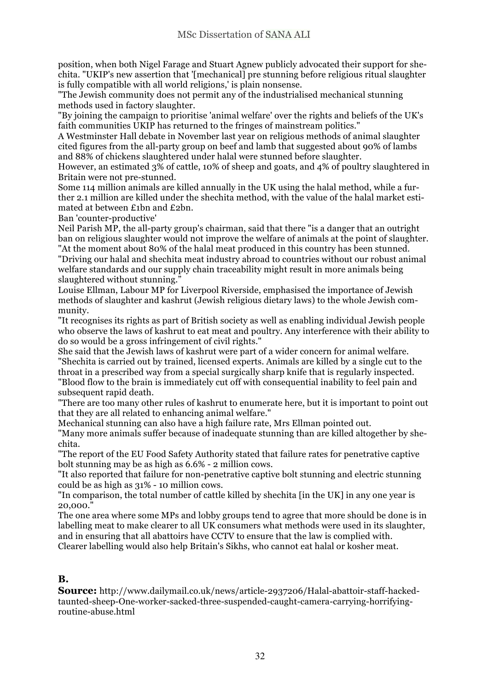position, when both Nigel Farage and Stuart Agnew publicly advocated their support for shechita. "UKIP's new assertion that '[mechanical] pre stunning before religious ritual slaughter is fully compatible with all world religions,' is plain nonsense.

"The Jewish community does not permit any of the industrialised mechanical stunning methods used in factory slaughter.

"By joining the campaign to prioritise 'animal welfare' over the rights and beliefs of the UK's faith communities UKIP has returned to the fringes of mainstream politics."

A Westminster Hall debate in November last year on religious methods of animal slaughter cited figures from the all-party group on beef and lamb that suggested about 90% of lambs and 88% of chickens slaughtered under halal were stunned before slaughter.

However, an estimated 3% of cattle, 10% of sheep and goats, and 4% of poultry slaughtered in Britain were not pre-stunned.

Some 114 million animals are killed annually in the UK using the halal method, while a further 2.1 million are killed under the shechita method, with the value of the halal market estimated at between £1bn and £2bn.

Ban 'counter-productive'

Neil Parish MP, the all-party group's chairman, said that there "is a danger that an outright ban on religious slaughter would not improve the welfare of animals at the point of slaughter. "At the moment about 80% of the halal meat produced in this country has been stunned. "Driving our halal and shechita meat industry abroad to countries without our robust animal

welfare standards and our supply chain traceability might result in more animals being slaughtered without stunning."

Louise Ellman, Labour MP for Liverpool Riverside, emphasised the importance of Jewish methods of slaughter and kashrut (Jewish religious dietary laws) to the whole Jewish community.

"It recognises its rights as part of British society as well as enabling individual Jewish people who observe the laws of kashrut to eat meat and poultry. Any interference with their ability to do so would be a gross infringement of civil rights."

She said that the Jewish laws of kashrut were part of a wider concern for animal welfare. "Shechita is carried out by trained, licensed experts. Animals are killed by a single cut to the throat in a prescribed way from a special surgically sharp knife that is regularly inspected. "Blood flow to the brain is immediately cut off with consequential inability to feel pain and subsequent rapid death.

"There are too many other rules of kashrut to enumerate here, but it is important to point out that they are all related to enhancing animal welfare."

Mechanical stunning can also have a high failure rate, Mrs Ellman pointed out.

"Many more animals suffer because of inadequate stunning than are killed altogether by shechita.

"The report of the EU Food Safety Authority stated that failure rates for penetrative captive bolt stunning may be as high as 6.6% - 2 million cows.

"It also reported that failure for non-penetrative captive bolt stunning and electric stunning could be as high as 31% - 10 million cows.

"In comparison, the total number of cattle killed by shechita [in the UK] in any one year is 20,000."

The one area where some MPs and lobby groups tend to agree that more should be done is in labelling meat to make clearer to all UK consumers what methods were used in its slaughter, and in ensuring that all abattoirs have CCTV to ensure that the law is complied with. Clearer labelling would also help Britain's Sikhs, who cannot eat halal or kosher meat.

#### **B.**

**Source:** http://www.dailymail.co.uk/news/article-2937206/Halal-abattoir-staff-hackedtaunted-sheep-One-worker-sacked-three-suspended-caught-camera-carrying-horrifyingroutine-abuse.html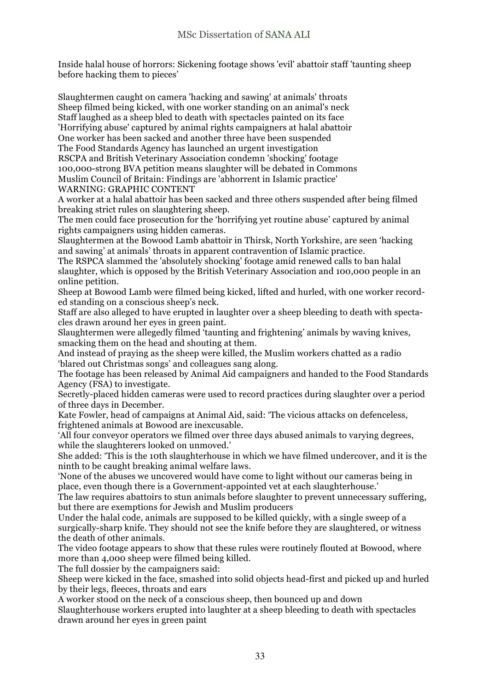Inside halal house of horrors: Sickening footage shows 'evil' abattoir staff 'taunting sheep before hacking them to pieces'

Slaughtermen caught on camera 'hacking and sawing' at animals' throats Sheep filmed being kicked, with one worker standing on an animal's neck Staff laughed as a sheep bled to death with spectacles painted on its face 'Horrifying abuse' captured by animal rights campaigners at halal abattoir One worker has been sacked and another three have been suspended The Food Standards Agency has launched an urgent investigation RSCPA and British Veterinary Association condemn 'shocking' footage 100,000-strong BVA petition means slaughter will be debated in Commons Muslim Council of Britain: Findings are 'abhorrent in Islamic practice' WARNING: GRAPHIC CONTENT

A worker at a halal abattoir has been sacked and three others suspended after being filmed breaking strict rules on slaughtering sheep.

The men could face prosecution for the 'horrifying yet routine abuse' captured by animal rights campaigners using hidden cameras.

Slaughtermen at the Bowood Lamb abattoir in Thirsk, North Yorkshire, are seen 'hacking and sawing' at animals' throats in apparent contravention of Islamic practice.

The RSPCA slammed the 'absolutely shocking' footage amid renewed calls to ban halal slaughter, which is opposed by the British Veterinary Association and 100,000 people in an online petition.

Sheep at Bowood Lamb were filmed being kicked, lifted and hurled, with one worker recorded standing on a conscious sheep's neck.

Staff are also alleged to have erupted in laughter over a sheep bleeding to death with spectacles drawn around her eyes in green paint.

Slaughtermen were allegedly filmed 'taunting and frightening' animals by waving knives, smacking them on the head and shouting at them.

And instead of praying as the sheep were killed, the Muslim workers chatted as a radio 'blared out Christmas songs' and colleagues sang along.

The footage has been released by Animal Aid campaigners and handed to the Food Standards Agency (FSA) to investigate.

Secretly-placed hidden cameras were used to record practices during slaughter over a period of three days in December.

Kate Fowler, head of campaigns at Animal Aid, said: 'The vicious attacks on defenceless, frightened animals at Bowood are inexcusable.

'All four conveyor operators we filmed over three days abused animals to varying degrees, while the slaughterers looked on unmoved.'

She added: 'This is the 10th slaughterhouse in which we have filmed undercover, and it is the ninth to be caught breaking animal welfare laws.

'None of the abuses we uncovered would have come to light without our cameras being in place, even though there is a Government-appointed vet at each slaughterhouse.'

The law requires abattoirs to stun animals before slaughter to prevent unnecessary suffering, but there are exemptions for Jewish and Muslim producers

Under the halal code, animals are supposed to be killed quickly, with a single sweep of a surgically-sharp knife. They should not see the knife before they are slaughtered, or witness the death of other animals.

The video footage appears to show that these rules were routinely flouted at Bowood, where more than 4,000 sheep were filmed being killed.

The full dossier by the campaigners said:

Sheep were kicked in the face, smashed into solid objects head-first and picked up and hurled by their legs, fleeces, throats and ears

A worker stood on the neck of a conscious sheep, then bounced up and down

Slaughterhouse workers erupted into laughter at a sheep bleeding to death with spectacles drawn around her eyes in green paint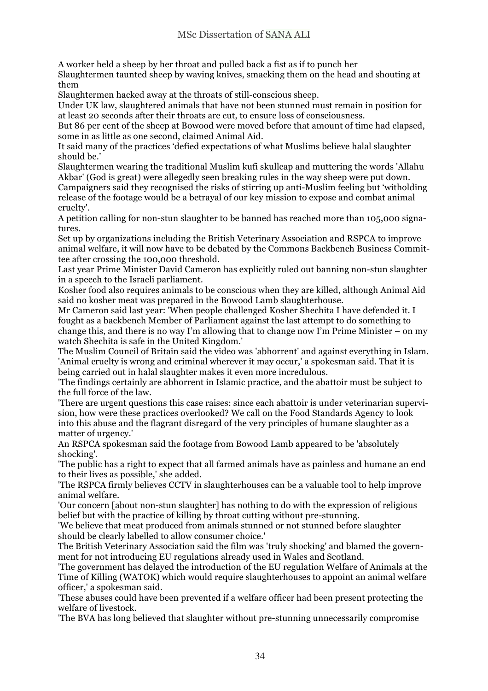A worker held a sheep by her throat and pulled back a fist as if to punch her

Slaughtermen taunted sheep by waving knives, smacking them on the head and shouting at them

Slaughtermen hacked away at the throats of still-conscious sheep.

Under UK law, slaughtered animals that have not been stunned must remain in position for at least 20 seconds after their throats are cut, to ensure loss of consciousness.

But 86 per cent of the sheep at Bowood were moved before that amount of time had elapsed, some in as little as one second, claimed Animal Aid.

It said many of the practices 'defied expectations of what Muslims believe halal slaughter should be.'

Slaughtermen wearing the traditional Muslim kufi skullcap and muttering the words 'Allahu Akbar' (God is great) were allegedly seen breaking rules in the way sheep were put down. Campaigners said they recognised the risks of stirring up anti-Muslim feeling but 'witholding

release of the footage would be a betrayal of our key mission to expose and combat animal cruelty'.

A petition calling for non-stun slaughter to be banned has reached more than 105,000 signatures.

Set up by organizations including the British Veterinary Association and RSPCA to improve animal welfare, it will now have to be debated by the Commons Backbench Business Committee after crossing the 100,000 threshold.

Last year Prime Minister David Cameron has explicitly ruled out banning non-stun slaughter in a speech to the Israeli parliament.

Kosher food also requires animals to be conscious when they are killed, although Animal Aid said no kosher meat was prepared in the Bowood Lamb slaughterhouse.

Mr Cameron said last year: 'When people challenged Kosher Shechita I have defended it. I fought as a backbench Member of Parliament against the last attempt to do something to change this, and there is no way I'm allowing that to change now I'm Prime Minister – on my watch Shechita is safe in the United Kingdom.'

The Muslim Council of Britain said the video was 'abhorrent' and against everything in Islam. 'Animal cruelty is wrong and criminal wherever it may occur,' a spokesman said. That it is being carried out in halal slaughter makes it even more incredulous.

'The findings certainly are abhorrent in Islamic practice, and the abattoir must be subject to the full force of the law.

'There are urgent questions this case raises: since each abattoir is under veterinarian supervision, how were these practices overlooked? We call on the Food Standards Agency to look into this abuse and the flagrant disregard of the very principles of humane slaughter as a matter of urgency.'

An RSPCA spokesman said the footage from Bowood Lamb appeared to be 'absolutely shocking'.

'The public has a right to expect that all farmed animals have as painless and humane an end to their lives as possible,' she added.

'The RSPCA firmly believes CCTV in slaughterhouses can be a valuable tool to help improve animal welfare.

'Our concern [about non-stun slaughter] has nothing to do with the expression of religious belief but with the practice of killing by throat cutting without pre-stunning.

'We believe that meat produced from animals stunned or not stunned before slaughter should be clearly labelled to allow consumer choice.'

The British Veterinary Association said the film was 'truly shocking' and blamed the government for not introducing EU regulations already used in Wales and Scotland.

'The government has delayed the introduction of the EU regulation Welfare of Animals at the Time of Killing (WATOK) which would require slaughterhouses to appoint an animal welfare officer,' a spokesman said.

'These abuses could have been prevented if a welfare officer had been present protecting the welfare of livestock.

'The BVA has long believed that slaughter without pre-stunning unnecessarily compromise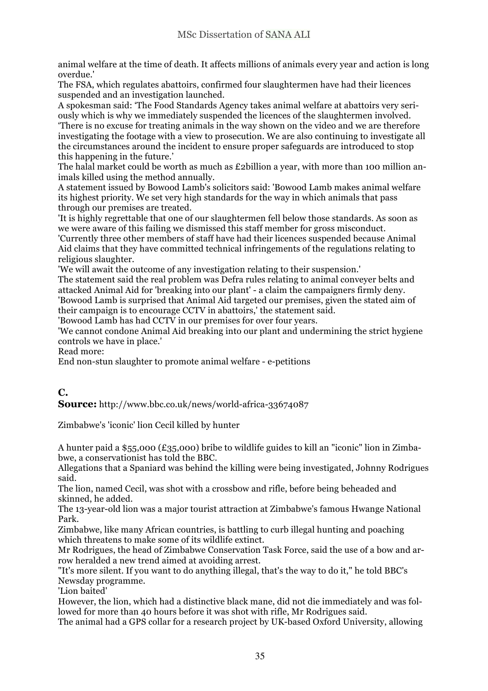animal welfare at the time of death. It affects millions of animals every year and action is long overdue.'

The FSA, which regulates abattoirs, confirmed four slaughtermen have had their licences suspended and an investigation launched.

A spokesman said: 'The Food Standards Agency takes animal welfare at abattoirs very seriously which is why we immediately suspended the licences of the slaughtermen involved. 'There is no excuse for treating animals in the way shown on the video and we are therefore investigating the footage with a view to prosecution. We are also continuing to investigate all the circumstances around the incident to ensure proper safeguards are introduced to stop this happening in the future.'

The halal market could be worth as much as £2billion a year, with more than 100 million animals killed using the method annually.

A statement issued by Bowood Lamb's solicitors said: 'Bowood Lamb makes animal welfare its highest priority. We set very high standards for the way in which animals that pass through our premises are treated.

'It is highly regrettable that one of our slaughtermen fell below those standards. As soon as we were aware of this failing we dismissed this staff member for gross misconduct.

'Currently three other members of staff have had their licences suspended because Animal Aid claims that they have committed technical infringements of the regulations relating to religious slaughter.

'We will await the outcome of any investigation relating to their suspension.'

The statement said the real problem was Defra rules relating to animal conveyer belts and attacked Animal Aid for 'breaking into our plant' - a claim the campaigners firmly deny. 'Bowood Lamb is surprised that Animal Aid targeted our premises, given the stated aim of their campaign is to encourage CCTV in abattoirs,' the statement said.

'Bowood Lamb has had CCTV in our premises for over four years.

'We cannot condone Animal Aid breaking into our plant and undermining the strict hygiene controls we have in place.'

Read more:

End non-stun slaughter to promote animal welfare - e-petitions

## **C. Source:** http://www.bbc.co.uk/news/world-africa-33674087

Zimbabwe's 'iconic' lion Cecil killed by hunter

A hunter paid a \$55,000 (£35,000) bribe to wildlife guides to kill an "iconic" lion in Zimbabwe, a conservationist has told the BBC.

Allegations that a Spaniard was behind the killing were being investigated, Johnny Rodrigues said.

The lion, named Cecil, was shot with a crossbow and rifle, before being beheaded and skinned, he added.

The 13-year-old lion was a major tourist attraction at Zimbabwe's famous Hwange National Park.

Zimbabwe, like many African countries, is battling to curb illegal hunting and poaching which threatens to make some of its wildlife extinct.

Mr Rodrigues, the head of Zimbabwe Conservation Task Force, said the use of a bow and arrow heralded a new trend aimed at avoiding arrest.

"It's more silent. If you want to do anything illegal, that's the way to do it," he told BBC's Newsday programme.

'Lion baited'

However, the lion, which had a distinctive black mane, did not die immediately and was followed for more than 40 hours before it was shot with rifle, Mr Rodrigues said.

The animal had a GPS collar for a research project by UK-based Oxford University, allowing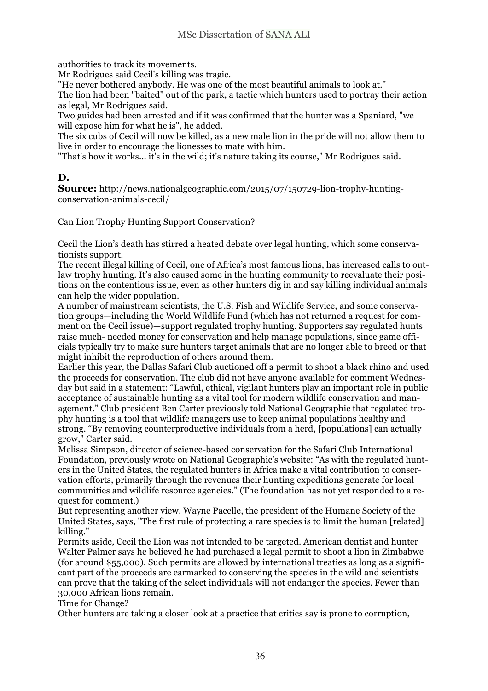authorities to track its movements.

Mr Rodrigues said Cecil's killing was tragic.

"He never bothered anybody. He was one of the most beautiful animals to look at."

The lion had been "baited" out of the park, a tactic which hunters used to portray their action as legal, Mr Rodrigues said.

Two guides had been arrested and if it was confirmed that the hunter was a Spaniard, "we will expose him for what he is", he added.

The six cubs of Cecil will now be killed, as a new male lion in the pride will not allow them to live in order to encourage the lionesses to mate with him.

"That's how it works... it's in the wild; it's nature taking its course," Mr Rodrigues said.

## **D.**

**Source:** http://news.nationalgeographic.com/2015/07/150729-lion-trophy-huntingconservation-animals-cecil/

Can Lion Trophy Hunting Support Conservation?

Cecil the Lion's death has stirred a heated debate over legal hunting, which some conservationists support.

The recent illegal killing of Cecil, one of Africa's most famous lions, has increased calls to outlaw trophy hunting. It's also caused some in the hunting community to reevaluate their positions on the contentious issue, even as other hunters dig in and say killing individual animals can help the wider population.

A number of mainstream scientists, the U.S. Fish and Wildlife Service, and some conservation groups—including the World Wildlife Fund (which has not returned a request for comment on the Cecil issue)—support regulated trophy hunting. Supporters say regulated hunts raise much- needed money for conservation and help manage populations, since game officials typically try to make sure hunters target animals that are no longer able to breed or that might inhibit the reproduction of others around them.

Earlier this year, the Dallas Safari Club auctioned off a permit to shoot a black rhino and used the proceeds for conservation. The club did not have anyone available for comment Wednesday but said in a statement: "Lawful, ethical, vigilant hunters play an important role in public acceptance of sustainable hunting as a vital tool for modern wildlife conservation and management." Club president Ben Carter previously told National Geographic that regulated trophy hunting is a tool that wildlife managers use to keep animal populations healthy and strong. "By removing counterproductive individuals from a herd, [populations] can actually grow," Carter said.

Melissa Simpson, director of science-based conservation for the Safari Club International Foundation, previously wrote on National Geographic's website: "As with the regulated hunters in the United States, the regulated hunters in Africa make a vital contribution to conservation efforts, primarily through the revenues their hunting expeditions generate for local communities and wildlife resource agencies." (The foundation has not yet responded to a request for comment.)

But representing another view, Wayne Pacelle, the president of the Humane Society of the United States, says, "The first rule of protecting a rare species is to limit the human [related] killing."

Permits aside, Cecil the Lion was not intended to be targeted. American dentist and hunter Walter Palmer says he believed he had purchased a legal permit to shoot a lion in Zimbabwe (for around \$55,000). Such permits are allowed by international treaties as long as a significant part of the proceeds are earmarked to conserving the species in the wild and scientists can prove that the taking of the select individuals will not endanger the species. Fewer than 30,000 African lions remain.

Time for Change?

Other hunters are taking a closer look at a practice that critics say is prone to corruption,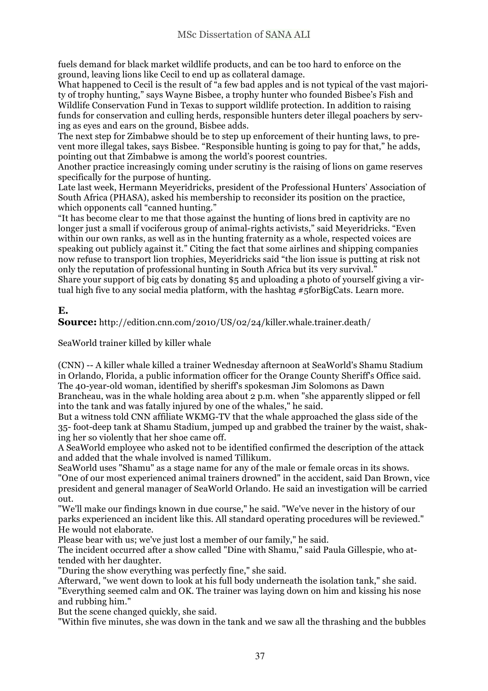fuels demand for black market wildlife products, and can be too hard to enforce on the ground, leaving lions like Cecil to end up as collateral damage.

What happened to Cecil is the result of "a few bad apples and is not typical of the vast majority of trophy hunting," says Wayne Bisbee, a trophy hunter who founded Bisbee's Fish and Wildlife Conservation Fund in Texas to support wildlife protection. In addition to raising funds for conservation and culling herds, responsible hunters deter illegal poachers by serving as eyes and ears on the ground, Bisbee adds.

The next step for Zimbabwe should be to step up enforcement of their hunting laws, to prevent more illegal takes, says Bisbee. "Responsible hunting is going to pay for that," he adds, pointing out that Zimbabwe is among the world's poorest countries.

Another practice increasingly coming under scrutiny is the raising of lions on game reserves specifically for the purpose of hunting.

Late last week, Hermann Meyeridricks, president of the Professional Hunters' Association of South Africa (PHASA), asked his membership to reconsider its position on the practice, which opponents call "canned hunting."

"It has become clear to me that those against the hunting of lions bred in captivity are no longer just a small if vociferous group of animal-rights activists," said Meyeridricks. "Even within our own ranks, as well as in the hunting fraternity as a whole, respected voices are speaking out publicly against it." Citing the fact that some airlines and shipping companies now refuse to transport lion trophies, Meyeridricks said "the lion issue is putting at risk not only the reputation of professional hunting in South Africa but its very survival." Share your support of big cats by donating \$5 and uploading a photo of yourself giving a virtual high five to any social media platform, with the hashtag #5forBigCats. Learn more.

## **E.**

**Source:** http://edition.cnn.com/2010/US/02/24/killer.whale.trainer.death/

SeaWorld trainer killed by killer whale

(CNN) -- A killer whale killed a trainer Wednesday afternoon at SeaWorld's Shamu Stadium in Orlando, Florida, a public information officer for the Orange County Sheriff's Office said. The 40-year-old woman, identified by sheriff's spokesman Jim Solomons as Dawn Brancheau, was in the whale holding area about 2 p.m. when "she apparently slipped or fell into the tank and was fatally injured by one of the whales," he said.

But a witness told CNN affiliate WKMG-TV that the whale approached the glass side of the 35- foot-deep tank at Shamu Stadium, jumped up and grabbed the trainer by the waist, shaking her so violently that her shoe came off.

A SeaWorld employee who asked not to be identified confirmed the description of the attack and added that the whale involved is named Tillikum.

SeaWorld uses "Shamu" as a stage name for any of the male or female orcas in its shows.

"One of our most experienced animal trainers drowned" in the accident, said Dan Brown, vice president and general manager of SeaWorld Orlando. He said an investigation will be carried out.

"We'll make our findings known in due course," he said. "We've never in the history of our parks experienced an incident like this. All standard operating procedures will be reviewed." He would not elaborate.

Please bear with us; we've just lost a member of our family," he said.

The incident occurred after a show called "Dine with Shamu," said Paula Gillespie, who attended with her daughter.

"During the show everything was perfectly fine," she said.

Afterward, "we went down to look at his full body underneath the isolation tank," she said. "Everything seemed calm and OK. The trainer was laying down on him and kissing his nose and rubbing him."

But the scene changed quickly, she said.

"Within five minutes, she was down in the tank and we saw all the thrashing and the bubbles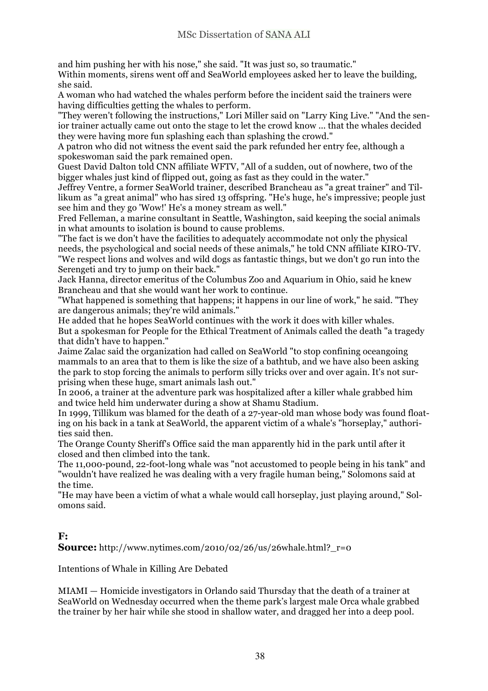and him pushing her with his nose," she said. "It was just so, so traumatic." Within moments, sirens went off and SeaWorld employees asked her to leave the building, she said.

A woman who had watched the whales perform before the incident said the trainers were having difficulties getting the whales to perform.

"They weren't following the instructions," Lori Miller said on "Larry King Live." "And the senior trainer actually came out onto the stage to let the crowd know ... that the whales decided they were having more fun splashing each than splashing the crowd."

A patron who did not witness the event said the park refunded her entry fee, although a spokeswoman said the park remained open.

Guest David Dalton told CNN affiliate WFTV, "All of a sudden, out of nowhere, two of the bigger whales just kind of flipped out, going as fast as they could in the water."

Jeffrey Ventre, a former SeaWorld trainer, described Brancheau as "a great trainer" and Tillikum as "a great animal" who has sired 13 offspring. "He's huge, he's impressive; people just see him and they go 'Wow!' He's a money stream as well."

Fred Felleman, a marine consultant in Seattle, Washington, said keeping the social animals in what amounts to isolation is bound to cause problems.

"The fact is we don't have the facilities to adequately accommodate not only the physical needs, the psychological and social needs of these animals," he told CNN affiliate KIRO-TV. "We respect lions and wolves and wild dogs as fantastic things, but we don't go run into the Serengeti and try to jump on their back."

Jack Hanna, director emeritus of the Columbus Zoo and Aquarium in Ohio, said he knew Brancheau and that she would want her work to continue.

"What happened is something that happens; it happens in our line of work," he said. "They are dangerous animals; they're wild animals."

He added that he hopes SeaWorld continues with the work it does with killer whales. But a spokesman for People for the Ethical Treatment of Animals called the death "a tragedy that didn't have to happen."

Jaime Zalac said the organization had called on SeaWorld "to stop confining oceangoing mammals to an area that to them is like the size of a bathtub, and we have also been asking the park to stop forcing the animals to perform silly tricks over and over again. It's not surprising when these huge, smart animals lash out."

In 2006, a trainer at the adventure park was hospitalized after a killer whale grabbed him and twice held him underwater during a show at Shamu Stadium.

In 1999, Tillikum was blamed for the death of a 27-year-old man whose body was found floating on his back in a tank at SeaWorld, the apparent victim of a whale's "horseplay," authorities said then.

The Orange County Sheriff's Office said the man apparently hid in the park until after it closed and then climbed into the tank.

The 11,000-pound, 22-foot-long whale was "not accustomed to people being in his tank" and "wouldn't have realized he was dealing with a very fragile human being," Solomons said at the time.

"He may have been a victim of what a whale would call horseplay, just playing around," Solomons said.

## **F:**

**Source:** http://www.nytimes.com/2010/02/26/us/26whale.html? r=0

Intentions of Whale in Killing Are Debated

MIAMI — Homicide investigators in Orlando said Thursday that the death of a trainer at SeaWorld on Wednesday occurred when the theme park's largest male Orca whale grabbed the trainer by her hair while she stood in shallow water, and dragged her into a deep pool.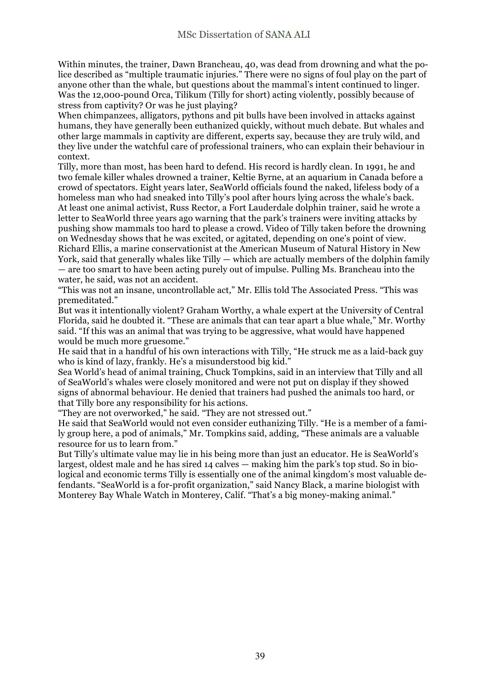Within minutes, the trainer, Dawn Brancheau, 40, was dead from drowning and what the police described as "multiple traumatic injuries." There were no signs of foul play on the part of anyone other than the whale, but questions about the mammal's intent continued to linger. Was the 12,000-pound Orca, Tilikum (Tilly for short) acting violently, possibly because of stress from captivity? Or was he just playing?

When chimpanzees, alligators, pythons and pit bulls have been involved in attacks against humans, they have generally been euthanized quickly, without much debate. But whales and other large mammals in captivity are different, experts say, because they are truly wild, and they live under the watchful care of professional trainers, who can explain their behaviour in context.

Tilly, more than most, has been hard to defend. His record is hardly clean. In 1991, he and two female killer whales drowned a trainer, Keltie Byrne, at an aquarium in Canada before a crowd of spectators. Eight years later, SeaWorld officials found the naked, lifeless body of a homeless man who had sneaked into Tilly's pool after hours lying across the whale's back. At least one animal activist, Russ Rector, a Fort Lauderdale dolphin trainer, said he wrote a letter to SeaWorld three years ago warning that the park's trainers were inviting attacks by pushing show mammals too hard to please a crowd. Video of Tilly taken before the drowning on Wednesday shows that he was excited, or agitated, depending on one's point of view. Richard Ellis, a marine conservationist at the American Museum of Natural History in New York, said that generally whales like Tilly — which are actually members of the dolphin family — are too smart to have been acting purely out of impulse. Pulling Ms. Brancheau into the water, he said, was not an accident.

"This was not an insane, uncontrollable act," Mr. Ellis told The Associated Press. "This was premeditated."

But was it intentionally violent? Graham Worthy, a whale expert at the University of Central Florida, said he doubted it. "These are animals that can tear apart a blue whale," Mr. Worthy said. "If this was an animal that was trying to be aggressive, what would have happened would be much more gruesome."

He said that in a handful of his own interactions with Tilly, "He struck me as a laid-back guy who is kind of lazy, frankly. He's a misunderstood big kid."

Sea World's head of animal training, Chuck Tompkins, said in an interview that Tilly and all of SeaWorld's whales were closely monitored and were not put on display if they showed signs of abnormal behaviour. He denied that trainers had pushed the animals too hard, or that Tilly bore any responsibility for his actions.

"They are not overworked," he said. "They are not stressed out."

He said that SeaWorld would not even consider euthanizing Tilly. "He is a member of a family group here, a pod of animals," Mr. Tompkins said, adding, "These animals are a valuable resource for us to learn from."

But Tilly's ultimate value may lie in his being more than just an educator. He is SeaWorld's largest, oldest male and he has sired 14 calves — making him the park's top stud. So in biological and economic terms Tilly is essentially one of the animal kingdom's most valuable defendants. "SeaWorld is a for-profit organization," said Nancy Black, a marine biologist with Monterey Bay Whale Watch in Monterey, Calif. "That's a big money-making animal."